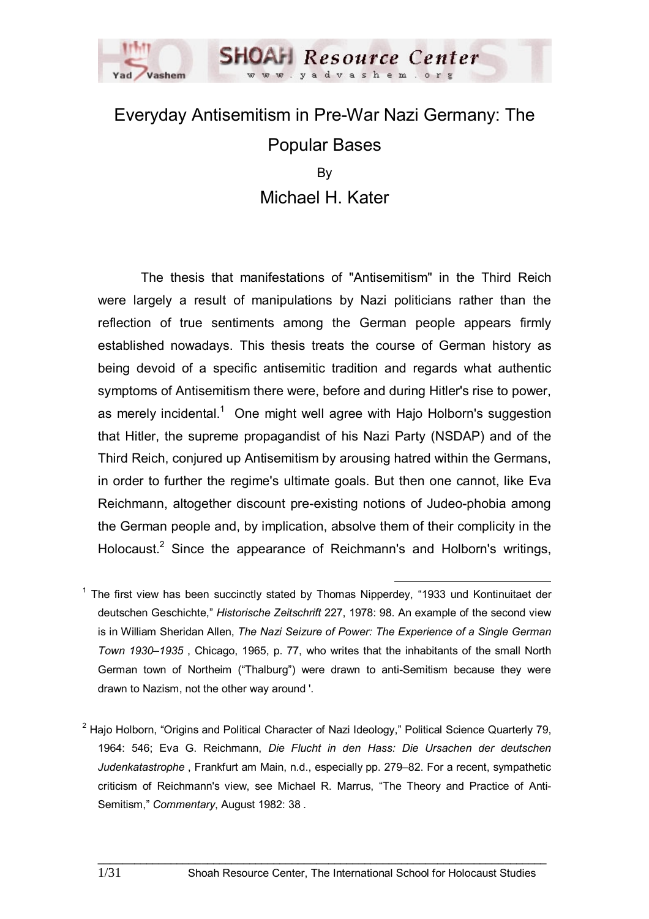

# Everyday Antisemitism in Pre-War Nazi Germany: The Popular Bases By Michael H. Kater

 The thesis that manifestations of "Antisemitism" in the Third Reich were largely a result of manipulations by Nazi politicians rather than the reflection of true sentiments among the German people appears firmly established nowadays. This thesis treats the course of German history as being devoid of a specific antisemitic tradition and regards what authentic symptoms of Antisemitism there were, before and during Hitler's rise to power, as merely incidental.<sup>1</sup> One might well agree with Hajo Holborn's suggestion that Hitler, the supreme propagandist of his Nazi Party (NSDAP) and of the Third Reich, conjured up Antisemitism by arousing hatred within the Germans, in order to further the regime's ultimate goals. But then one cannot, like Eva Reichmann, altogether discount pre-existing notions of Judeo-phobia among the German people and, by implication, absolve them of their complicity in the Holocaust.<sup>2</sup> Since the appearance of Reichmann's and Holborn's writings,

<sup>1</sup> The first view has been succinctly stated by Thomas Nipperdey, "1933 und Kontinuitaet der deutschen Geschichte," *Historische Zeitschrift* 227, 1978: 98. An example of the second view is in William Sheridan Allen, *The Nazi Seizure of Power: The Experience of a Single German Town 1930–1935* , Chicago, 1965, p. 77, who writes that the inhabitants of the small North German town of Northeim ("Thalburg") were drawn to anti-Semitism because they were drawn to Nazism, not the other way around . '

<sup>&</sup>lt;sup>2</sup> Hajo Holborn, "Origins and Political Character of Nazi Ideology," Political Science Quarterly 79, 1964: 546; Eva G. Reichmann, *Die Flucht in den Hass: Die Ursachen der deutschen Judenkatastrophe* , Frankfurt am Main, n.d., especially pp. 279–82. For a recent, sympathetic criticism of Reichmann's view, see Michael R. Marrus, "The Theory and Practice of Anti-Semitism," *Commentary*, August 1982: 38 .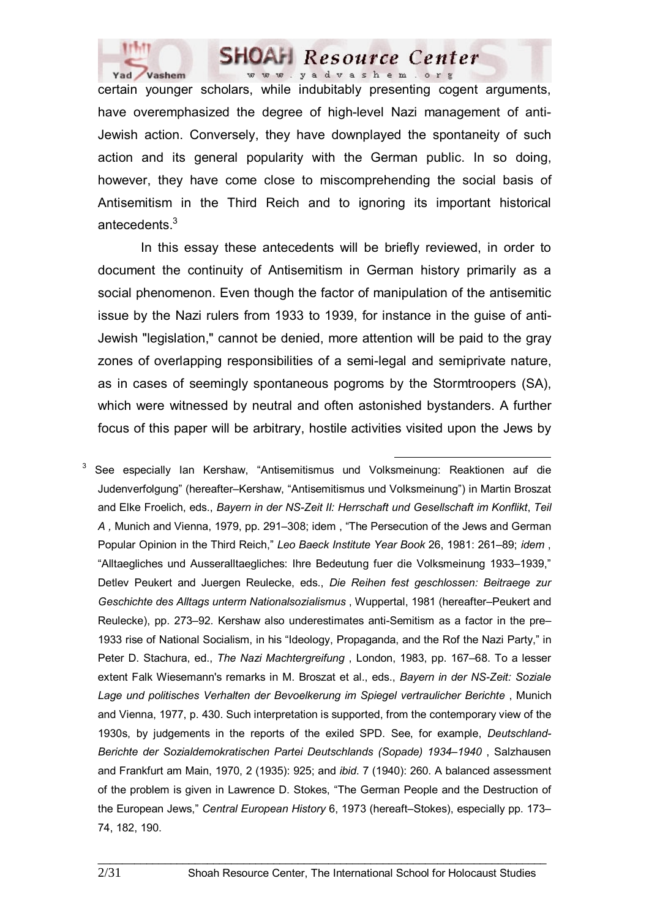

certain younger scholars, while indubitably presenting cogent arguments, have overemphasized the degree of high-level Nazi management of anti-Jewish action. Conversely, they have downplayed the spontaneity of such action and its general popularity with the German public. In so doing, however, they have come close to miscomprehending the social basis of Antisemitism in the Third Reich and to ignoring its important historical antecedents.<sup>3</sup>

 In this essay these antecedents will be briefly reviewed, in order to document the continuity of Antisemitism in German history primarily as a social phenomenon. Even though the factor of manipulation of the antisemitic issue by the Nazi rulers from 1933 to 1939, for instance in the guise of anti-Jewish "legislation," cannot be denied, more attention will be paid to the gray zones of overlapping responsibilities of a semi-legal and semiprivate nature, as in cases of seemingly spontaneous pogroms by the Stormtroopers (SA), which were witnessed by neutral and often astonished bystanders. A further focus of this paper will be arbitrary, hostile activities visited upon the Jews by

 <sup>3</sup> See especially Ian Kershaw, "Antisemitismus und Volksmeinung: Reaktionen auf die Judenverfolgung" (hereafter–Kershaw, "Antisemitismus und Volksmeinung") in Martin Broszat and Elke Froelich, eds., *Bayern in der NS-Zeit II: Herrschaft und Gesellschaft im Konflikt*, *Teil A ,* Munich and Vienna, 1979, pp. 291–308; idem , "The Persecution of the Jews and German Popular Opinion in the Third Reich," *Leo Baeck Institute Year Book* 26, 1981: 261–89; *idem* , "Alltaegliches und Ausseralltaegliches: Ihre Bedeutung fuer die Volksmeinung 1933–1939," Detlev Peukert and Juergen Reulecke, eds., *Die Reihen fest geschlossen: Beitraege zur Geschichte des Alltags unterm Nationalsozialismus* , Wuppertal, 1981 (hereafter–Peukert and Reulecke), pp. 273–92. Kershaw also underestimates anti-Semitism as a factor in the pre– 1933 rise of National Socialism, in his "Ideology, Propaganda, and the Rof the Nazi Party," in Peter D. Stachura, ed., *The Nazi Machtergreifung* , London, 1983, pp. 167–68. To a lesser extent Falk Wiesemann's remarks in M. Broszat et al., eds., *Bayern in der NS-Zeit: Soziale Lage und politisches Verhalten der Bevoelkerung im Spiegel vertraulicher Berichte* , Munich and Vienna, 1977, p. 430. Such interpretation is supported, from the contemporary view of the 1930s, by judgements in the reports of the exiled SPD. See, for example, *Deutschland-Berichte der Sozialdemokratischen Partei Deutschlands (Sopade) 1934–1940* , Salzhausen and Frankfurt am Main, 1970, 2 (1935): 925; and *ibid*. 7 (1940): 260. A balanced assessment of the problem is given in Lawrence D. Stokes, "The German People and the Destruction of the European Jews," *Central European History* 6, 1973 (hereaft–Stokes), especially pp. 173– 74, 182, 190.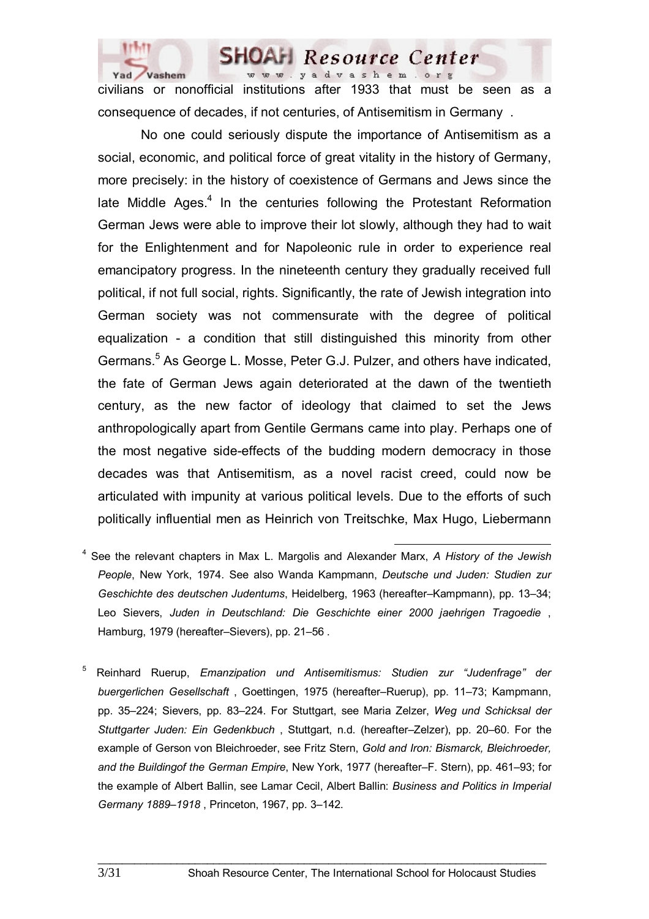

civilians or nonofficial institutions after 1933 that must be seen as a consequence of decades, if not centuries, of Antisemitism in Germany .

 No one could seriously dispute the importance of Antisemitism as a social, economic, and political force of great vitality in the history of Germany, more precisely: in the history of coexistence of Germans and Jews since the late Middle Ages.<sup>4</sup> In the centuries following the Protestant Reformation German Jews were able to improve their lot slowly, although they had to wait for the Enlightenment and for Napoleonic rule in order to experience real emancipatory progress. In the nineteenth century they gradually received full political, if not full social, rights. Significantly, the rate of Jewish integration into German society was not commensurate with the degree of political equalization - a condition that still distinguished this minority from other Germans.<sup>5</sup> As George L. Mosse, Peter G.J. Pulzer, and others have indicated, the fate of German Jews again deteriorated at the dawn of the twentieth century, as the new factor of ideology that claimed to set the Jews anthropologically apart from Gentile Germans came into play. Perhaps one of the most negative side-effects of the budding modern democracy in those decades was that Antisemitism, as a novel racist creed, could now be articulated with impunity at various political levels. Due to the efforts of such politically influential men as Heinrich von Treitschke, Max Hugo, Liebermann

- <sup>4</sup> See the relevant chapters in Max L. Margolis and Alexander Marx, *A History of the Jewish People*, New York, 1974. See also Wanda Kampmann, *Deutsche und Juden: Studien zur Geschichte des deutschen Judentums*, Heidelberg, 1963 (hereafter–Kampmann), pp. 13–34; Leo Sievers, *Juden in Deutschland: Die Geschichte einer 2000 jaehrigen Tragoedie* , Hamburg, 1979 (hereafter–Sievers), pp. 21–56 .
- 5 Reinhard Ruerup, *Emanzipation und Antisemitismus: Studien zur "Judenfrage" der buergerlichen Gesellschaft* , Goettingen, 1975 (hereafter–Ruerup), pp. 11–73; Kampmann, pp. 35–224; Sievers, pp. 83–224. For Stuttgart, see Maria Zelzer, *Weg und Schicksal der Stuttgarter Juden: Ein Gedenkbuch* , Stuttgart, n.d. (hereafter–Zelzer), pp. 20–60. For the example of Gerson von Bleichroeder, see Fritz Stern, *Gold and Iron: Bismarck, Bleichroeder, and the Buildingof the German Empire*, New York, 1977 (hereafter–F. Stern), pp. 461–93; for the example of Albert Ballin, see Lamar Cecil, Albert Ballin: *Business and Politics in Imperial Germany 1889–1918* , Princeton, 1967, pp. 3–142.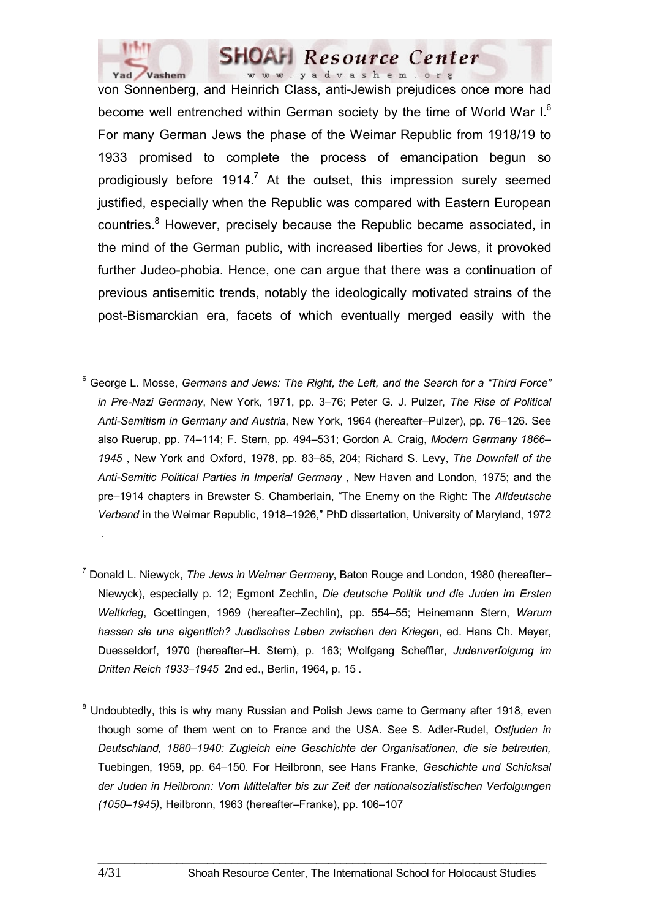

von Sonnenberg, and Heinrich Class, anti-Jewish prejudices once more had become well entrenched within German society by the time of World War I.<sup>6</sup> For many German Jews the phase of the Weimar Republic from 1918/19 to 1933 promised to complete the process of emancipation begun so prodigiously before  $1914$ .<sup>7</sup> At the outset, this impression surely seemed justified, especially when the Republic was compared with Eastern European countries.<sup>8</sup> However, precisely because the Republic became associated, in the mind of the German public, with increased liberties for Jews, it provoked further Judeo-phobia. Hence, one can argue that there was a continuation of previous antisemitic trends, notably the ideologically motivated strains of the post-Bismarckian era, facets of which eventually merged easily with the

- <sup>6</sup> George L. Mosse, *Germans and Jews: The Right, the Left, and the Search for a "Third Force" in Pre-Nazi Germany*, New York, 1971, pp. 3–76; Peter G. J. Pulzer, *The Rise of Political Anti-Semitism in Germany and Austria*, New York, 1964 (hereafter–Pulzer), pp. 76–126. See also Ruerup, pp. 74–114; F. Stern, pp. 494–531; Gordon A. Craig, *Modern Germany 1866– 1945* , New York and Oxford, 1978, pp. 83–85, 204; Richard S. Levy, *The Downfall of the Anti-Semitic Political Parties in Imperial Germany* , New Haven and London, 1975; and the pre–1914 chapters in Brewster S. Chamberlain, "The Enemy on the Right: The *Alldeutsche Verband* in the Weimar Republic, 1918–1926," PhD dissertation, University of Maryland, 1972
- 7 Donald L. Niewyck, *The Jews in Weimar Germany*, Baton Rouge and London, 1980 (hereafter– Niewyck), especially p. 12; Egmont Zechlin, *Die deutsche Politik und die Juden im Ersten Weltkrieg*, Goettingen, 1969 (hereafter–Zechlin), pp. 554–55; Heinemann Stern, *Warum hassen sie uns eigentlich? Juedisches Leben zwischen den Kriegen*, ed. Hans Ch. Meyer, Duesseldorf, 1970 (hereafter–H. Stern), p. 163; Wolfgang Scheffler, *Judenverfolgung im Dritten Reich 1933–1945* 2nd ed., Berlin, 1964, p. 15 .
- <sup>8</sup> Undoubtedly, this is why many Russian and Polish Jews came to Germany after 1918, even though some of them went on to France and the USA. See S. Adler-Rudel, *Ostjuden in Deutschland, 1880–1940: Zugleich eine Geschichte der Organisationen, die sie betreuten,* Tuebingen, 1959, pp. 64–150. For Heilbronn, see Hans Franke, *Geschichte und Schicksal der Juden in Heilbronn: Vom Mittelalter bis zur Zeit der nationalsozialistischen Verfolgungen (1050–1945)*, Heilbronn, 1963 (hereafter–Franke), pp. 106–107

\_\_\_\_\_\_\_\_\_\_\_\_\_\_\_\_\_\_\_\_\_\_\_\_\_\_\_\_\_\_\_\_\_\_\_\_\_\_\_\_\_\_\_\_\_\_\_\_\_\_\_\_\_\_\_\_\_\_\_\_\_\_\_\_\_\_\_\_\_\_\_\_\_\_

.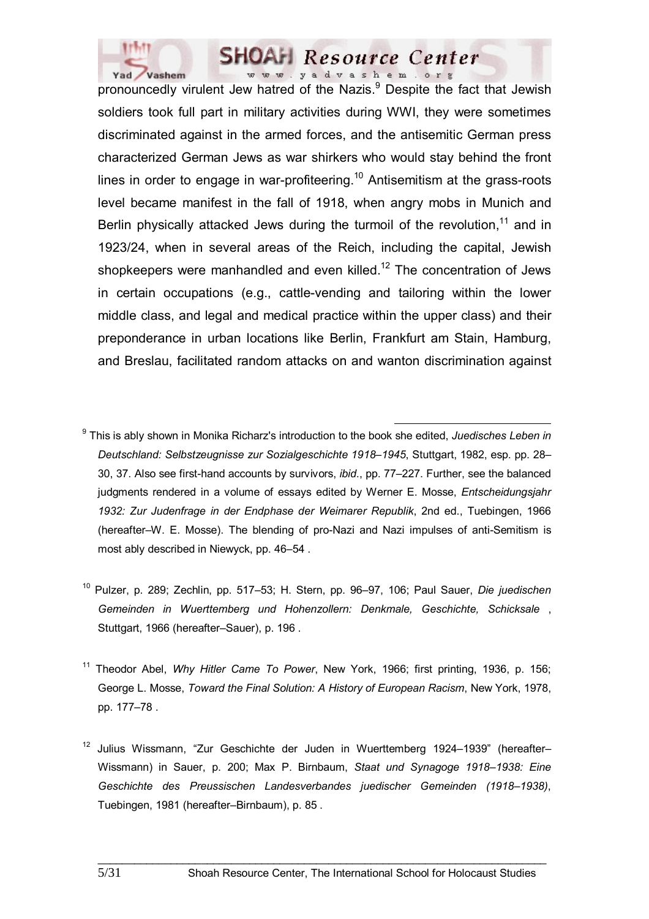

pronouncedly virulent Jew hatred of the Nazis.<sup>9</sup> Despite the fact that Jewish soldiers took full part in military activities during WWI, they were sometimes discriminated against in the armed forces, and the antisemitic German press characterized German Jews as war shirkers who would stay behind the front lines in order to engage in war-profiteering.<sup>10</sup> Antisemitism at the grass-roots level became manifest in the fall of 1918, when angry mobs in Munich and Berlin physically attacked Jews during the turmoil of the revolution,  $11$  and in 1923/24, when in several areas of the Reich, including the capital, Jewish shopkeepers were manhandled and even killed.<sup>12</sup> The concentration of Jews in certain occupations (e.g., cattle-vending and tailoring within the lower middle class, and legal and medical practice within the upper class) and their preponderance in urban locations like Berlin, Frankfurt am Stain, Hamburg, and Breslau, facilitated random attacks on and wanton discrimination against

 <sup>9</sup> This is ably shown in Monika Richarz's introduction to the book she edited, *Juedisches Leben in Deutschland: Selbstzeugnisse zur Sozialgeschichte 1918–1945*, Stuttgart, 1982, esp. pp. 28– 30, 37. Also see first-hand accounts by survivors, *ibid*., pp. 77–227. Further, see the balanced judgments rendered in a volume of essays edited by Werner E. Mosse, *Entscheidungsjahr 1932: Zur Judenfrage in der Endphase der Weimarer Republik*, 2nd ed., Tuebingen, 1966 (hereafter–W. E. Mosse). The blending of pro-Nazi and Nazi impulses of anti-Semitism is most ably described in Niewyck, pp. 46–54 .

10 Pulzer, p. 289; Zechlin, pp. 517–53; H. Stern, pp. 96–97, 106; Paul Sauer, *Die juedischen Gemeinden in Wuerttemberg und Hohenzollern: Denkmale, Geschichte, Schicksale* , Stuttgart, 1966 (hereafter–Sauer), p. 196 .

<sup>11</sup> Theodor Abel, *Why Hitler Came To Power*, New York, 1966; first printing, 1936, p. 156; George L. Mosse, *Toward the Final Solution: A History of European Racism*, New York, 1978, pp. 177–78 .

12 Julius Wissmann, "Zur Geschichte der Juden in Wuerttemberg 1924–1939" (hereafter– Wissmann) in Sauer, p. 200; Max P. Birnbaum, *Staat und Synagoge 1918–1938: Eine Geschichte des Preussischen Landesverbandes juedischer Gemeinden (1918–1938)*, Tuebingen, 1981 (hereafter–Birnbaum), p. 85 .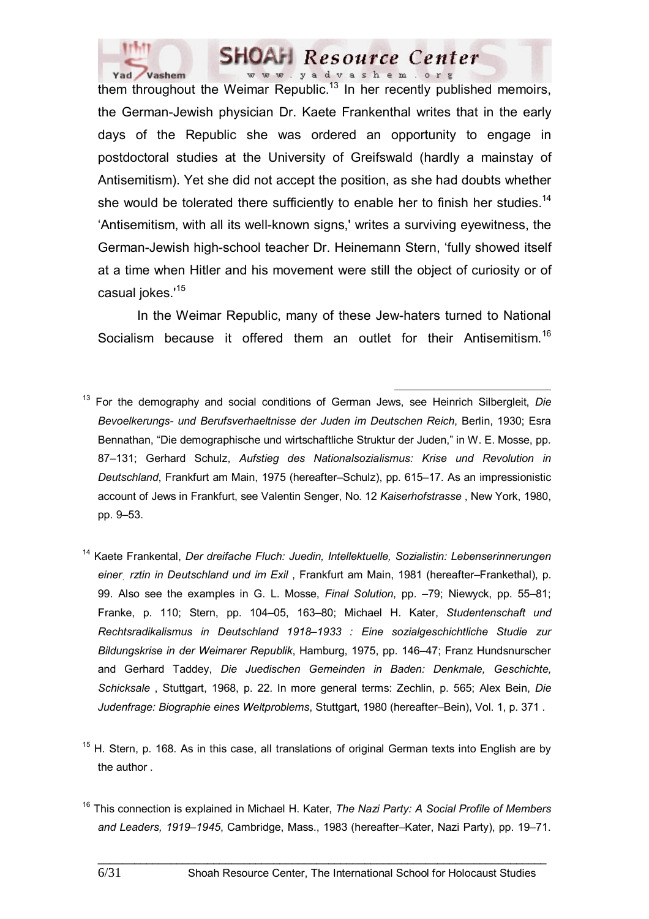

them throughout the Weimar Republic.<sup>13</sup> In her recently published memoirs, the German-Jewish physician Dr. Kaete Frankenthal writes that in the early days of the Republic she was ordered an opportunity to engage in postdoctoral studies at the University of Greifswald (hardly a mainstay of Antisemitism). Yet she did not accept the position, as she had doubts whether she would be tolerated there sufficiently to enable her to finish her studies.<sup>14</sup> 'Antisemitism, with all its well-known signs,' writes a surviving eyewitness, the German-Jewish high-school teacher Dr. Heinemann Stern, 'fully showed itself at a time when Hitler and his movement were still the object of curiosity or of casual jokes.<sup>'15</sup>

In the Weimar Republic, many of these Jew-haters turned to National Socialism because it offered them an outlet for their Antisemitism.<sup>16</sup>

- 13 For the demography and social conditions of German Jews, see Heinrich Silbergleit, *Die Bevoelkerungs- und Berufsverhaeltnisse der Juden im Deutschen Reich*, Berlin, 1930; Esra Bennathan, "Die demographische und wirtschaftliche Struktur der Juden," in W. E. Mosse, pp. 87–131; Gerhard Schulz, *Aufstieg des Nationalsozialismus: Krise und Revolution in Deutschland*, Frankfurt am Main, 1975 (hereafter–Schulz), pp. 615–17. As an impressionistic account of Jews in Frankfurt, see Valentin Senger, No. 12 *Kaiserhofstrasse* , New York, 1980, pp. 9–53.
- 14 Kaete Frankental, *Der dreifache Fluch: Juedin, Intellektuelle, Sozialistin: Lebenserinnerungen einerִ rztin in Deutschland und im Exil* , Frankfurt am Main, 1981 (hereafter–Frankethal), p. 99. Also see the examples in G. L. Mosse, *Final Solution*, pp. –79; Niewyck, pp. 55–81; Franke, p. 110; Stern, pp. 104–05, 163–80; Michael H. Kater, *Studentenschaft und Rechtsradikalismus in Deutschland 1918–1933 : Eine sozialgeschichtliche Studie zur Bildungskrise in der Weimarer Republik*, Hamburg, 1975, pp. 146–47; Franz Hundsnurscher and Gerhard Taddey, *Die Juedischen Gemeinden in Baden: Denkmale, Geschichte, Schicksale* , Stuttgart, 1968, p. 22. In more general terms: Zechlin, p. 565; Alex Bein, *Die Judenfrage: Biographie eines Weltproblems*, Stuttgart, 1980 (hereafter–Bein), Vol. 1, p. 371 .
- $15$  H. Stern, p. 168. As in this case, all translations of original German texts into English are by the author .
- 16 This connection is explained in Michael H. Kater, *The Nazi Party: A Social Profile of Members and Leaders, 1919–1945*, Cambridge, Mass., 1983 (hereafter–Kater, Nazi Party), pp. 19–71.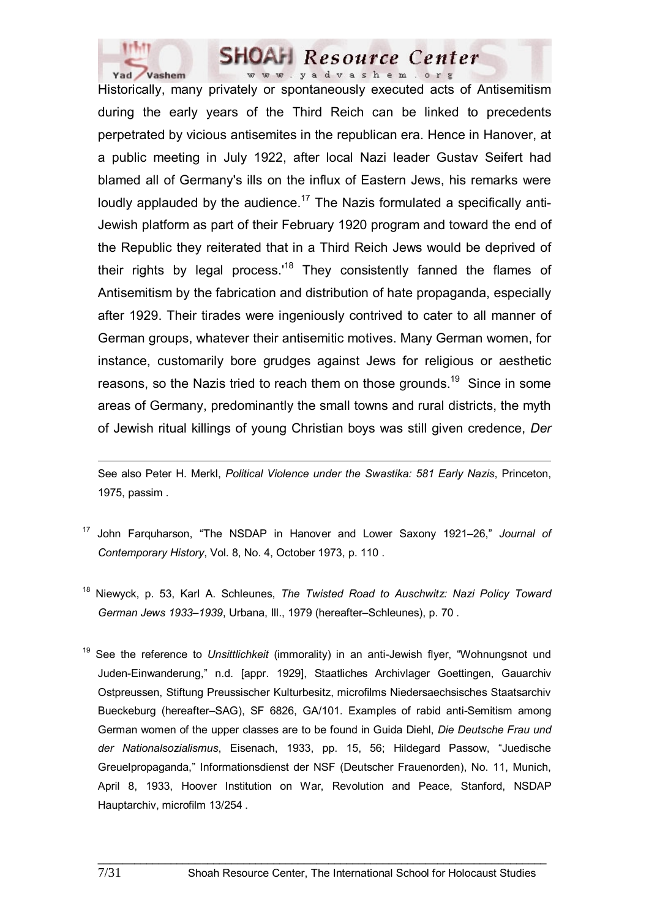

Historically, many privately or spontaneously executed acts of Antisemitism during the early years of the Third Reich can be linked to precedents perpetrated by vicious antisemites in the republican era. Hence in Hanover, at a public meeting in July 1922, after local Nazi leader Gustav Seifert had blamed all of Germany's ills on the influx of Eastern Jews, his remarks were loudly applauded by the audience.<sup>17</sup> The Nazis formulated a specifically anti-Jewish platform as part of their February 1920 program and toward the end of the Republic they reiterated that in a Third Reich Jews would be deprived of their rights by legal process.<sup>18</sup> They consistently fanned the flames of Antisemitism by the fabrication and distribution of hate propaganda, especially after 1929. Their tirades were ingeniously contrived to cater to all manner of German groups, whatever their antisemitic motives. Many German women, for instance, customarily bore grudges against Jews for religious or aesthetic reasons, so the Nazis tried to reach them on those grounds.<sup>19</sup> Since in some areas of Germany, predominantly the small towns and rural districts, the myth of Jewish ritual killings of young Christian boys was still given credence, *Der* 

 $\overline{a}$ See also Peter H. Merkl, *Political Violence under the Swastika: 581 Early Nazis*, Princeton, 1975, passim .

- 17 John Farquharson, "The NSDAP in Hanover and Lower Saxony 1921–26," *Journal of Contemporary History*, Vol. 8, No. 4, October 1973, p. 110 .
- 18 Niewyck, p. 53, Karl A. Schleunes, *The Twisted Road to Auschwitz: Nazi Policy Toward German Jews 1933–1939*, Urbana, Ill., 1979 (hereafter–Schleunes), p. 70 .
- 19 See the reference to *Unsittlichkeit* (immorality) in an anti-Jewish flyer, "Wohnungsnot und Juden-Einwanderung," n.d. [appr. 1929], Staatliches Archivlager Goettingen, Gauarchiv Ostpreussen, Stiftung Preussischer Kulturbesitz, microfilms Niedersaechsisches Staatsarchiv Bueckeburg (hereafter–SAG), SF 6826, GA/101. Examples of rabid anti-Semitism among German women of the upper classes are to be found in Guida Diehl, *Die Deutsche Frau und der Nationalsozialismus*, Eisenach, 1933, pp. 15, 56; Hildegard Passow, "Juedische Greuelpropaganda," Informationsdienst der NSF (Deutscher Frauenorden), No. 11, Munich, April 8, 1933, Hoover Institution on War, Revolution and Peace, Stanford, NSDAP Hauptarchiv, microfilm 13/254 .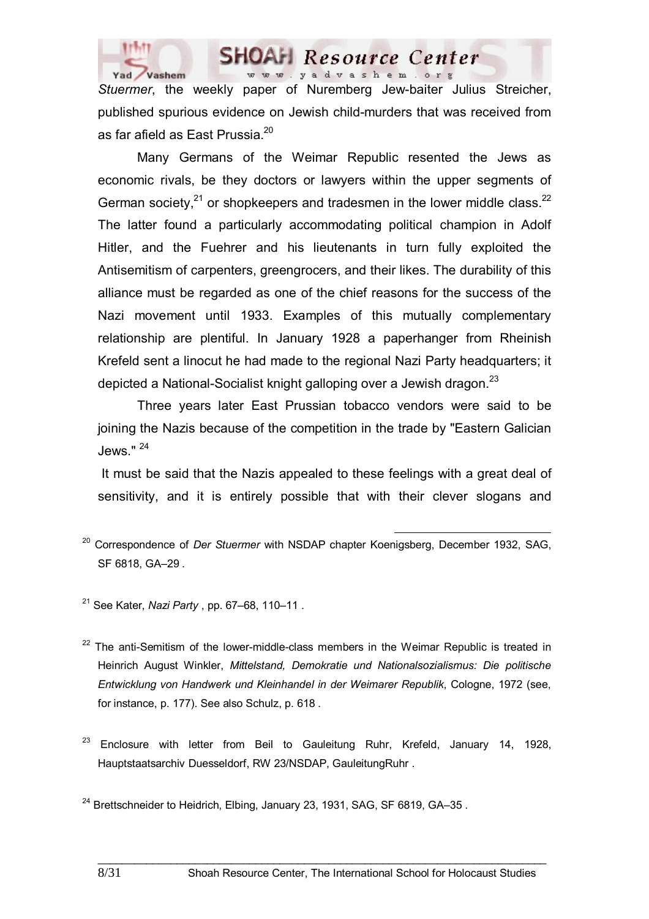

*Stuermer*, the weekly paper of Nuremberg Jew-baiter Julius Streicher, published spurious evidence on Jewish child-murders that was received from as far afield as East Prussia.<sup>20</sup>

 Many Germans of the Weimar Republic resented the Jews as economic rivals, be they doctors or lawyers within the upper segments of German society, $21$  or shopkeepers and tradesmen in the lower middle class.  $22$ The latter found a particularly accommodating political champion in Adolf Hitler, and the Fuehrer and his lieutenants in turn fully exploited the Antisemitism of carpenters, greengrocers, and their likes. The durability of this alliance must be regarded as one of the chief reasons for the success of the Nazi movement until 1933. Examples of this mutually complementary relationship are plentiful. In January 1928 a paperhanger from Rheinish Krefeld sent a linocut he had made to the regional Nazi Party headquarters; it depicted a National-Socialist knight galloping over a Jewish dragon.<sup>23</sup>

 Three years later East Prussian tobacco vendors were said to be joining the Nazis because of the competition in the trade by "Eastern Galician Jews." <sup>24</sup>

 It must be said that the Nazis appealed to these feelings with a great deal of sensitivity, and it is entirely possible that with their clever slogans and

- 20 Correspondence of *Der Stuermer* with NSDAP chapter Koenigsberg, December 1932, SAG, SF 6818, GA–29 .
- 21 See Kater, *Nazi Party* , pp. 67–68, 110–11 .

 $22$  The anti-Semitism of the lower-middle-class members in the Weimar Republic is treated in Heinrich August Winkler, *Mittelstand, Demokratie und Nationalsozialismus: Die politische Entwicklung von Handwerk und Kleinhandel in der Weimarer Republik*, Cologne, 1972 (see, for instance, p. 177). See also Schulz, p. 618 .

Enclosure with letter from Beil to Gauleitung Ruhr, Krefeld, January 14, 1928, Hauptstaatsarchiv Duesseldorf, RW 23/NSDAP, GauleitungRuhr .

\_\_\_\_\_\_\_\_\_\_\_\_\_\_\_\_\_\_\_\_\_\_\_\_\_\_\_\_\_\_\_\_\_\_\_\_\_\_\_\_\_\_\_\_\_\_\_\_\_\_\_\_\_\_\_\_\_\_\_\_\_\_\_\_\_\_\_\_\_\_\_\_\_\_

<sup>24</sup> Brettschneider to Heidrich. Elbing, January 23, 1931, SAG, SF 6819, GA-35.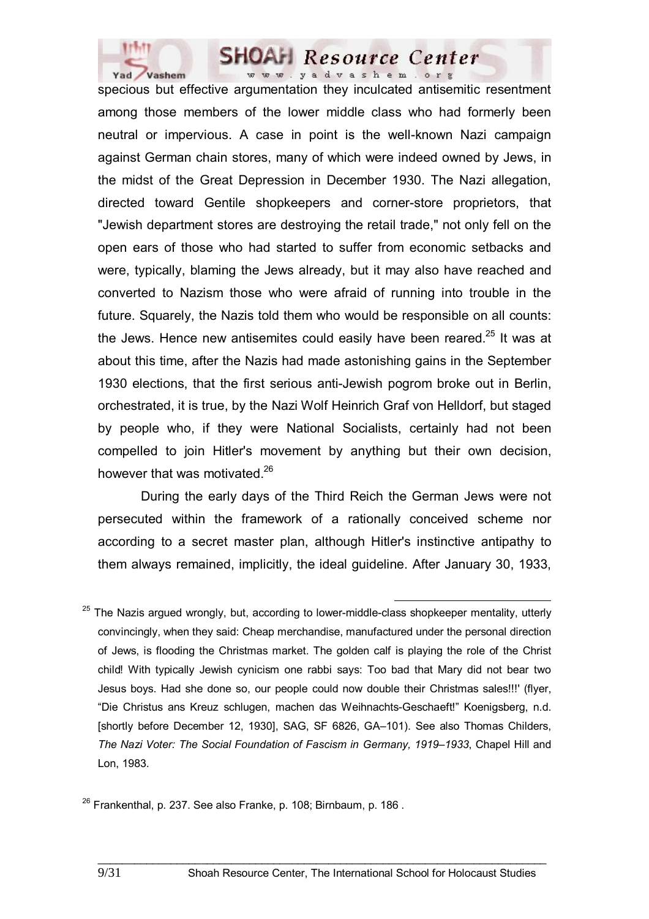

specious but effective argumentation they inculcated antisemitic resentment among those members of the lower middle class who had formerly been neutral or impervious. A case in point is the well-known Nazi campaign against German chain stores, many of which were indeed owned by Jews, in the midst of the Great Depression in December 1930. The Nazi allegation, directed toward Gentile shopkeepers and corner-store proprietors, that "Jewish department stores are destroying the retail trade," not only fell on the open ears of those who had started to suffer from economic setbacks and were, typically, blaming the Jews already, but it may also have reached and converted to Nazism those who were afraid of running into trouble in the future. Squarely, the Nazis told them who would be responsible on all counts: the Jews. Hence new antisemites could easily have been reared.<sup>25</sup> It was at about this time, after the Nazis had made astonishing gains in the September 1930 elections, that the first serious anti-Jewish pogrom broke out in Berlin, orchestrated, it is true, by the Nazi Wolf Heinrich Graf von Helldorf, but staged by people who, if they were National Socialists, certainly had not been compelled to join Hitler's movement by anything but their own decision, however that was motivated.<sup>26</sup>

 During the early days of the Third Reich the German Jews were not persecuted within the framework of a rationally conceived scheme nor according to a secret master plan, although Hitler's instinctive antipathy to them always remained, implicitly, the ideal guideline. After January 30, 1933,

The Nazis argued wrongly, but, according to lower-middle-class shopkeeper mentality, utterly convincingly, when they said: Cheap merchandise, manufactured under the personal direction of Jews, is flooding the Christmas market. The golden calf is playing the role of the Christ child! With typically Jewish cynicism one rabbi says: Too bad that Mary did not bear two Jesus boys. Had she done so, our people could now double their Christmas sales!!!' (flyer, "Die Christus ans Kreuz schlugen, machen das Weihnachts-Geschaeft!" Koenigsberg, n.d. [shortly before December 12, 1930], SAG, SF 6826, GA–101). See also Thomas Childers, *The Nazi Voter: The Social Foundation of Fascism in Germany, 1919–1933*, Chapel Hill and Lon, 1983.

 $26$  Frankenthal, p. 237. See also Franke, p. 108; Birnbaum, p. 186.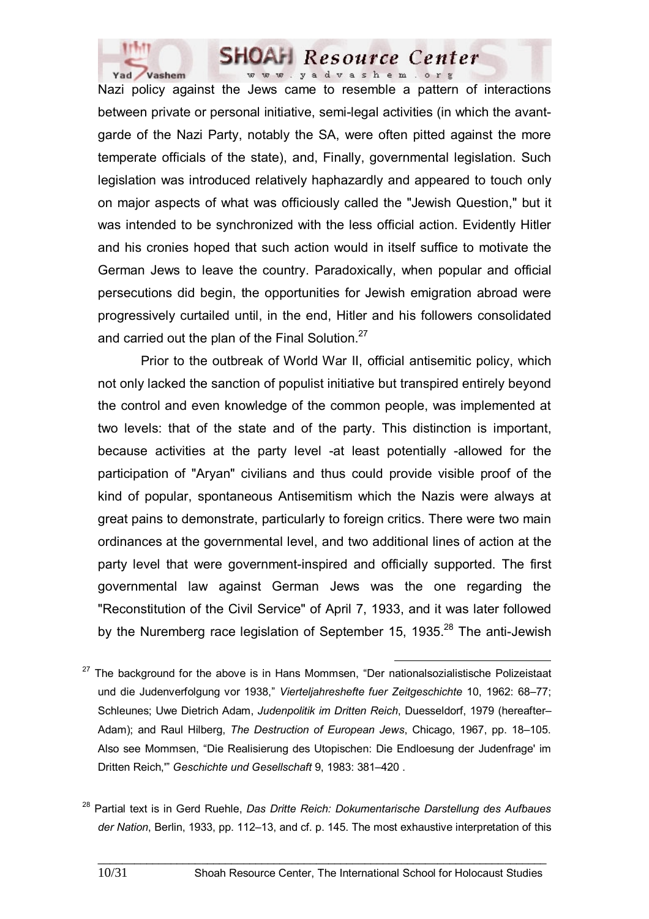

Nazi policy against the Jews came to resemble a pattern of interactions between private or personal initiative, semi-legal activities (in which the avantgarde of the Nazi Party, notably the SA, were often pitted against the more temperate officials of the state), and, Finally, governmental legislation. Such legislation was introduced relatively haphazardly and appeared to touch only on major aspects of what was officiously called the "Jewish Question," but it was intended to be synchronized with the less official action. Evidently Hitler and his cronies hoped that such action would in itself suffice to motivate the German Jews to leave the country. Paradoxically, when popular and official persecutions did begin, the opportunities for Jewish emigration abroad were progressively curtailed until, in the end, Hitler and his followers consolidated and carried out the plan of the Final Solution.<sup>27</sup>

 Prior to the outbreak of World War II, official antisemitic policy, which not only lacked the sanction of populist initiative but transpired entirely beyond the control and even knowledge of the common people, was implemented at two levels: that of the state and of the party. This distinction is important, because activities at the party level -at least potentially -allowed for the participation of "Aryan" civilians and thus could provide visible proof of the kind of popular, spontaneous Antisemitism which the Nazis were always at great pains to demonstrate, particularly to foreign critics. There were two main ordinances at the governmental level, and two additional lines of action at the party level that were government-inspired and officially supported. The first governmental law against German Jews was the one regarding the "Reconstitution of the Civil Service" of April 7, 1933, and it was later followed by the Nuremberg race legislation of September 15, 1935.<sup>28</sup> The anti-Jewish

- $27$  The background for the above is in Hans Mommsen, "Der nationalsozialistische Polizeistaat und die Judenverfolgung vor 1938," *Vierteljahreshefte fuer Zeitgeschichte* 10, 1962: 68–77; Schleunes; Uwe Dietrich Adam, *Judenpolitik im Dritten Reich*, Duesseldorf, 1979 (hereafter– Adam); and Raul Hilberg, *The Destruction of European Jews*, Chicago, 1967, pp. 18–105. Also see Mommsen, "Die Realisierung des Utopischen: Die Endloesung der Judenfrage' im Dritten Reich,'" *Geschichte und Gesellschaft* 9, 1983: 381–420 .
- 28 Partial text is in Gerd Ruehle, *Das Dritte Reich: Dokumentarische Darstellung des Aufbaues der Nation*, Berlin, 1933, pp. 112–13, and cf. p. 145. The most exhaustive interpretation of this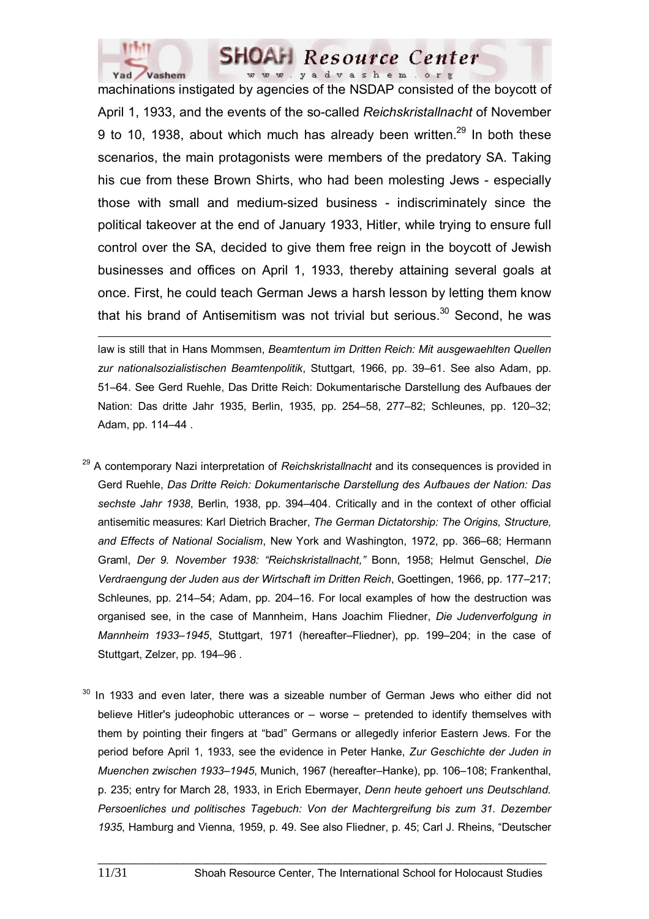

machinations instigated by agencies of the NSDAP consisted of the boycott of April 1, 1933, and the events of the so-called *Reichskristallnacht* of November 9 to 10, 1938, about which much has already been written. $^{29}$  In both these scenarios, the main protagonists were members of the predatory SA. Taking his cue from these Brown Shirts, who had been molesting Jews - especially those with small and medium-sized business - indiscriminately since the political takeover at the end of January 1933, Hitler, while trying to ensure full control over the SA, decided to give them free reign in the boycott of Jewish businesses and offices on April 1, 1933, thereby attaining several goals at once. First, he could teach German Jews a harsh lesson by letting them know that his brand of Antisemitism was not trivial but serious.<sup>30</sup> Second, he was

 $\overline{a}$ law is still that in Hans Mommsen, *Beamtentum im Dritten Reich: Mit ausgewaehlten Quellen zur nationalsozialistischen Beamtenpolitik*, Stuttgart, 1966, pp. 39–61. See also Adam, pp. 51–64. See Gerd Ruehle, Das Dritte Reich: Dokumentarische Darstellung des Aufbaues der Nation: Das dritte Jahr 1935, Berlin, 1935, pp. 254–58, 277–82; Schleunes, pp. 120–32; Adam, pp. 114–44 .

- 29 A contemporary Nazi interpretation of *Reichskristallnacht* and its consequences is provided in Gerd Ruehle, *Das Dritte Reich: Dokumentarische Darstellung des Aufbaues der Nation: Das sechste Jahr 1938*, Berlin, 1938, pp. 394–404. Critically and in the context of other official antisemitic measures: Karl Dietrich Bracher, *The German Dictatorship: The Origins, Structure, and Effects of National Socialism*, New York and Washington, 1972, pp. 366–68; Hermann Graml, *Der 9. November 1938: "Reichskristallnacht,"* Bonn, 1958; Helmut Genschel, *Die Verdraengung der Juden aus der Wirtschaft im Dritten Reich*, Goettingen, 1966, pp. 177–217; Schleunes, pp. 214–54; Adam, pp. 204–16. For local examples of how the destruction was organised see, in the case of Mannheim, Hans Joachim Fliedner, *Die Judenverfolgung in Mannheim 1933–1945*, Stuttgart, 1971 (hereafter–Fliedner), pp. 199–204; in the case of Stuttgart, Zelzer, pp. 194–96 .
- In 1933 and even later, there was a sizeable number of German Jews who either did not believe Hitler's judeophobic utterances or – worse – pretended to identify themselves with them by pointing their fingers at "bad" Germans or allegedly inferior Eastern Jews. For the period before April 1, 1933, see the evidence in Peter Hanke, *Zur Geschichte der Juden in Muenchen zwischen 1933–1945*, Munich, 1967 (hereafter–Hanke), pp. 106–108; Frankenthal, p. 235; entry for March 28, 1933, in Erich Ebermayer, *Denn heute gehoert uns Deutschland. Persoenliches und politisches Tagebuch: Von der Machtergreifung bis zum 31. Dezember 1935*, Hamburg and Vienna, 1959, p. 49. See also Fliedner, p. 45; Carl J. Rheins, "Deutscher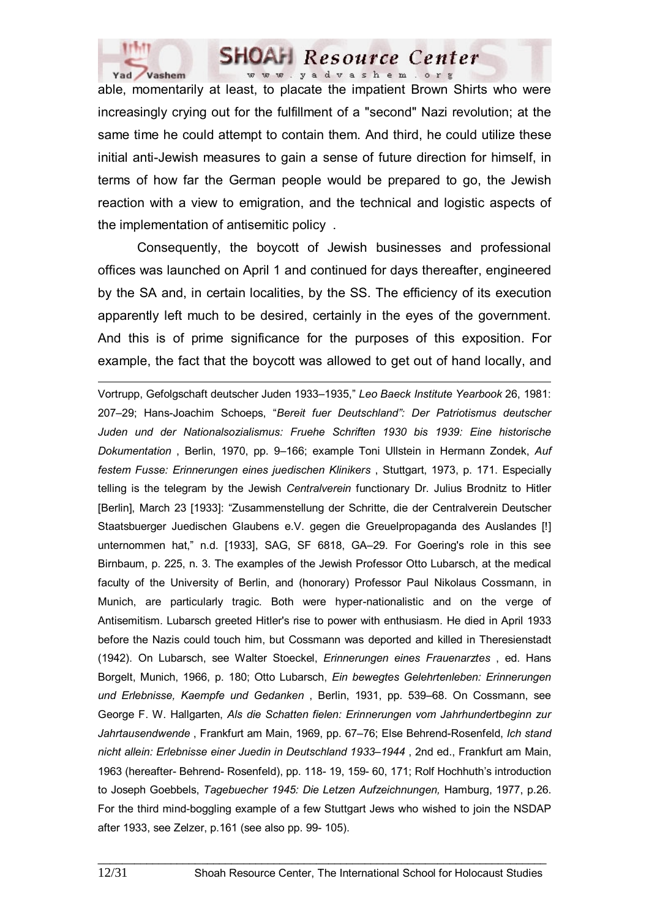

able, momentarily at least, to placate the impatient Brown Shirts who were increasingly crying out for the fulfillment of a "second" Nazi revolution; at the same time he could attempt to contain them. And third, he could utilize these initial anti-Jewish measures to gain a sense of future direction for himself, in terms of how far the German people would be prepared to go, the Jewish reaction with a view to emigration, and the technical and logistic aspects of the implementation of antisemitic policy .

 Consequently, the boycott of Jewish businesses and professional offices was launched on April 1 and continued for days thereafter, engineered by the SA and, in certain localities, by the SS. The efficiency of its execution apparently left much to be desired, certainly in the eyes of the government. And this is of prime significance for the purposes of this exposition. For example, the fact that the boycott was allowed to get out of hand locally, and

 $\overline{a}$ Vortrupp, Gefolgschaft deutscher Juden 1933–1935," *Leo Baeck Institute Yearbook* 26, 1981: 207–29; Hans-Joachim Schoeps, "*Bereit fuer Deutschland": Der Patriotismus deutscher Juden und der Nationalsozialismus: Fruehe Schriften 1930 bis 1939: Eine historische Dokumentation* , Berlin, 1970, pp. 9–166; example Toni Ullstein in Hermann Zondek, *Auf festem Fusse: Erinnerungen eines juedischen Klinikers* , Stuttgart, 1973, p. 171. Especially telling is the telegram by the Jewish *Centralverein* functionary Dr. Julius Brodnitz to Hitler [Berlin], March 23 [1933]: "Zusammenstellung der Schritte, die der Centralverein Deutscher Staatsbuerger Juedischen Glaubens e.V. gegen die Greuelpropaganda des Auslandes [!] unternommen hat," n.d. [1933], SAG, SF 6818, GA–29. For Goering's role in this see Birnbaum, p. 225, n. 3. The examples of the Jewish Professor Otto Lubarsch, at the medical faculty of the University of Berlin, and (honorary) Professor Paul Nikolaus Cossmann, in Munich, are particularly tragic. Both were hyper-nationalistic and on the verge of Antisemitism. Lubarsch greeted Hitler's rise to power with enthusiasm. He died in April 1933 before the Nazis could touch him, but Cossmann was deported and killed in Theresienstadt (1942). On Lubarsch, see Walter Stoeckel, *Erinnerungen eines Frauenarztes* , ed. Hans Borgelt, Munich, 1966, p. 180; Otto Lubarsch, *Ein bewegtes Gelehrtenleben: Erinnerungen und Erlebnisse, Kaempfe und Gedanken* , Berlin, 1931, pp. 539–68. On Cossmann, see George F. W. Hallgarten, *Als die Schatten fielen: Erinnerungen vom Jahrhundertbeginn zur Jahrtausendwende* , Frankfurt am Main, 1969, pp. 67–76; Else Behrend-Rosenfeld, *Ich stand nicht allein: Erlebnisse einer Juedin in Deutschland 1933–1944* , 2nd ed., Frankfurt am Main, 1963 (hereafter- Behrend- Rosenfeld), pp. 118- 19, 159- 60, 171; Rolf Hochhuth's introduction to Joseph Goebbels, *Tagebuecher 1945: Die Letzen Aufzeichnungen,* Hamburg, 1977, p.26. For the third mind-boggling example of a few Stuttgart Jews who wished to join the NSDAP after 1933, see Zelzer, p.161 (see also pp. 99- 105).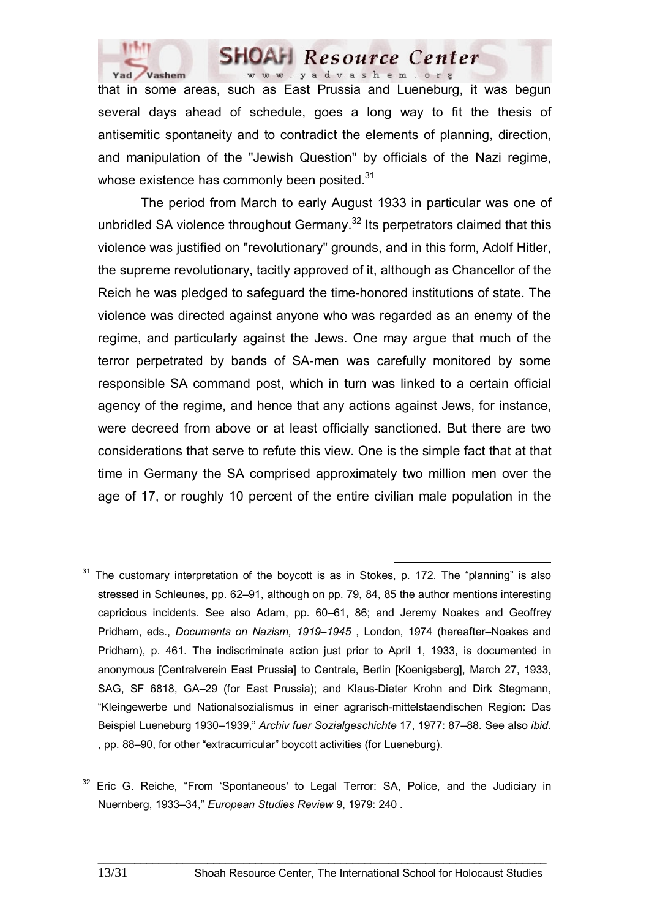

that in some areas, such as East Prussia and Lueneburg, it was begun several days ahead of schedule, goes a long way to fit the thesis of antisemitic spontaneity and to contradict the elements of planning, direction, and manipulation of the "Jewish Question" by officials of the Nazi regime, whose existence has commonly been posited.<sup>31</sup>

 The period from March to early August 1933 in particular was one of unbridled SA violence throughout Germany.<sup>32</sup> Its perpetrators claimed that this violence was justified on "revolutionary" grounds, and in this form, Adolf Hitler, the supreme revolutionary, tacitly approved of it, although as Chancellor of the Reich he was pledged to safeguard the time-honored institutions of state. The violence was directed against anyone who was regarded as an enemy of the regime, and particularly against the Jews. One may argue that much of the terror perpetrated by bands of SA-men was carefully monitored by some responsible SA command post, which in turn was linked to a certain official agency of the regime, and hence that any actions against Jews, for instance, were decreed from above or at least officially sanctioned. But there are two considerations that serve to refute this view. One is the simple fact that at that time in Germany the SA comprised approximately two million men over the age of 17, or roughly 10 percent of the entire civilian male population in the

The customary interpretation of the boycott is as in Stokes, p. 172. The "planning" is also stressed in Schleunes, pp. 62–91, although on pp. 79, 84, 85 the author mentions interesting capricious incidents. See also Adam, pp. 60–61, 86; and Jeremy Noakes and Geoffrey Pridham, eds., *Documents on Nazism, 1919–1945* , London, 1974 (hereafter–Noakes and Pridham), p. 461. The indiscriminate action just prior to April 1, 1933, is documented in anonymous [Centralverein East Prussia] to Centrale, Berlin [Koenigsberg], March 27, 1933, SAG, SF 6818, GA–29 (for East Prussia); and Klaus-Dieter Krohn and Dirk Stegmann, "Kleingewerbe und Nationalsozialismus in einer agrarisch-mittelstaendischen Region: Das Beispiel Lueneburg 1930–1939," *Archiv fuer Sozialgeschichte* 17, 1977: 87–88. See also *ibid*. , pp. 88–90, for other "extracurricular" boycott activities (for Lueneburg).

 $32$  Eric G. Reiche. "From 'Spontaneous' to Legal Terror: SA. Police, and the Judiciary in Nuernberg, 1933–34," *European Studies Review* 9, 1979: 240 .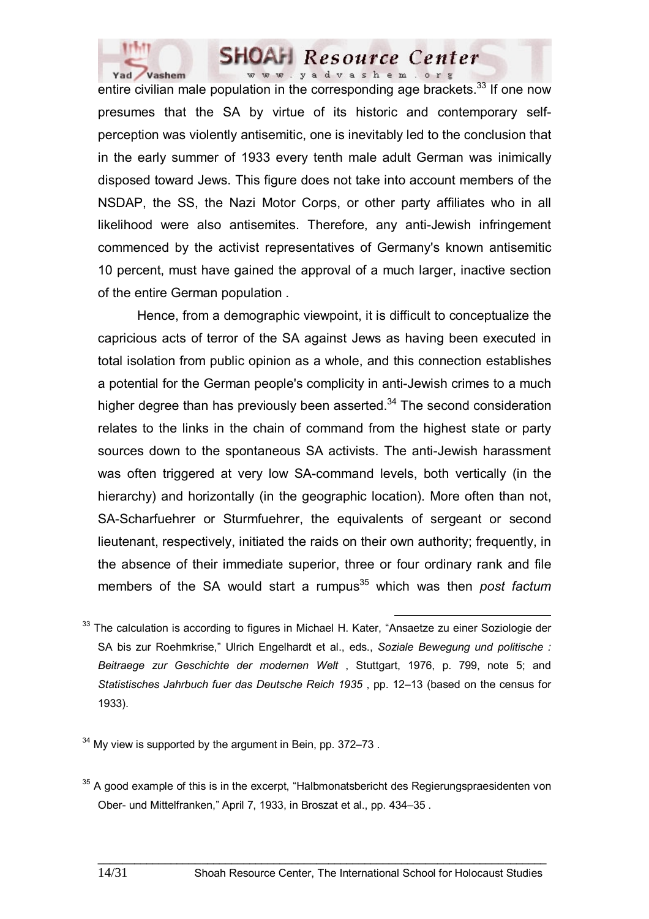

entire civilian male population in the corresponding age brackets.<sup>33</sup> If one now presumes that the SA by virtue of its historic and contemporary selfperception was violently antisemitic, one is inevitably led to the conclusion that in the early summer of 1933 every tenth male adult German was inimically disposed toward Jews. This figure does not take into account members of the NSDAP, the SS, the Nazi Motor Corps, or other party affiliates who in all likelihood were also antisemites. Therefore, any anti-Jewish infringement commenced by the activist representatives of Germany's known antisemitic 10 percent, must have gained the approval of a much larger, inactive section of the entire German population .

 Hence, from a demographic viewpoint, it is difficult to conceptualize the capricious acts of terror of the SA against Jews as having been executed in total isolation from public opinion as a whole, and this connection establishes a potential for the German people's complicity in anti-Jewish crimes to a much higher degree than has previously been asserted. $34$  The second consideration relates to the links in the chain of command from the highest state or party sources down to the spontaneous SA activists. The anti-Jewish harassment was often triggered at very low SA-command levels, both vertically (in the hierarchy) and horizontally (in the geographic location). More often than not, SA-Scharfuehrer or Sturmfuehrer, the equivalents of sergeant or second lieutenant, respectively, initiated the raids on their own authority; frequently, in the absence of their immediate superior, three or four ordinary rank and file members of the SA would start a rumpus<sup>35</sup> which was then *post factum* 

 $34$  My view is supported by the argument in Bein, pp. 372–73.

<sup>&</sup>lt;sup>33</sup> The calculation is according to figures in Michael H. Kater, "Ansaetze zu einer Soziologie der SA bis zur Roehmkrise," Ulrich Engelhardt et al., eds., *Soziale Bewegung und politische : Beitraege zur Geschichte der modernen Welt* , Stuttgart, 1976, p. 799, note 5; and *Statistisches Jahrbuch fuer das Deutsche Reich 1935* , pp. 12–13 (based on the census for 1933).

 $35$  A good example of this is in the excerpt. "Halbmonatsbericht des Regierungspraesidenten von Ober- und Mittelfranken," April 7, 1933, in Broszat et al., pp. 434–35 .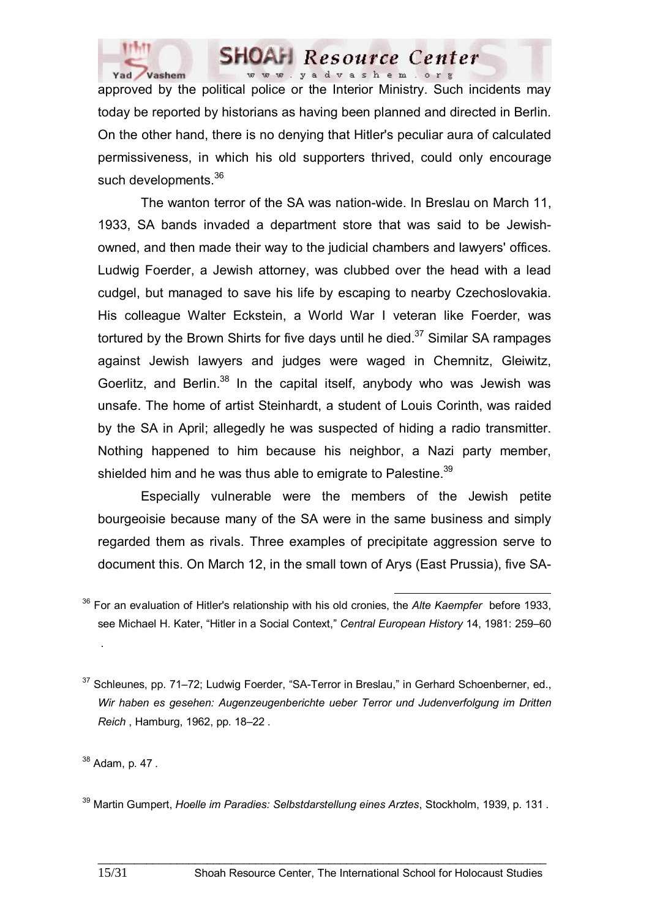

approved by the political police or the Interior Ministry. Such incidents may today be reported by historians as having been planned and directed in Berlin. On the other hand, there is no denying that Hitler's peculiar aura of calculated permissiveness, in which his old supporters thrived, could only encourage such developments.<sup>36</sup>

 The wanton terror of the SA was nation-wide. In Breslau on March 11, 1933, SA bands invaded a department store that was said to be Jewishowned, and then made their way to the judicial chambers and lawyers' offices. Ludwig Foerder, a Jewish attorney, was clubbed over the head with a lead cudgel, but managed to save his life by escaping to nearby Czechoslovakia. His colleague Walter Eckstein, a World War I veteran like Foerder, was tortured by the Brown Shirts for five days until he died. $37$  Similar SA rampages against Jewish lawyers and judges were waged in Chemnitz, Gleiwitz, Goerlitz, and Berlin.<sup>38</sup> In the capital itself, anybody who was Jewish was unsafe. The home of artist Steinhardt, a student of Louis Corinth, was raided by the SA in April; allegedly he was suspected of hiding a radio transmitter. Nothing happened to him because his neighbor, a Nazi party member, shielded him and he was thus able to emigrate to Palestine. $39$ 

 Especially vulnerable were the members of the Jewish petite bourgeoisie because many of the SA were in the same business and simply regarded them as rivals. Three examples of precipitate aggression serve to document this. On March 12, in the small town of Arys (East Prussia), five SA-

.

36 For an evaluation of Hitler's relationship with his old cronies, the *Alte Kaempfer* before 1933, see Michael H. Kater, "Hitler in a Social Context," *Central European History* 14, 1981: 259–60

 $37$  Schleunes, pp. 71–72; Ludwig Foerder, "SA-Terror in Breslau," in Gerhard Schoenberner, ed., *Wir haben es gesehen: Augenzeugenberichte ueber Terror und Judenverfolgung im Dritten Reich* , Hamburg, 1962, pp. 18–22 .

<sup>38</sup> Adam, p. 47 .

<sup>39</sup> Martin Gumpert, *Hoelle im Paradies: Selbstdarstellung eines Arztes*, Stockholm, 1939, p. 131 .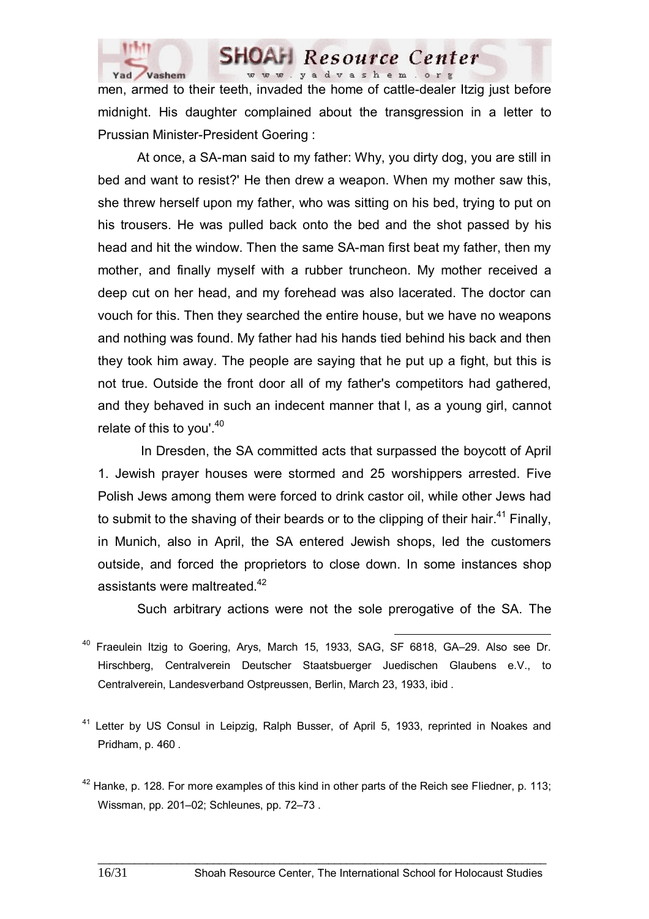

men, armed to their teeth, invaded the home of cattle-dealer Itzig just before midnight. His daughter complained about the transgression in a letter to Prussian Minister-President Goering :

 At once, a SA-man said to my father: Why, you dirty dog, you are still in bed and want to resist?' He then drew a weapon. When my mother saw this, she threw herself upon my father, who was sitting on his bed, trying to put on his trousers. He was pulled back onto the bed and the shot passed by his head and hit the window. Then the same SA-man first beat my father, then my mother, and finally myself with a rubber truncheon. My mother received a deep cut on her head, and my forehead was also lacerated. The doctor can vouch for this. Then they searched the entire house, but we have no weapons and nothing was found. My father had his hands tied behind his back and then they took him away. The people are saying that he put up a fight, but this is not true. Outside the front door all of my father's competitors had gathered, and they behaved in such an indecent manner that l, as a young girl, cannot relate of this to you'. $40$ 

 In Dresden, the SA committed acts that surpassed the boycott of April 1. Jewish prayer houses were stormed and 25 worshippers arrested. Five Polish Jews among them were forced to drink castor oil, while other Jews had to submit to the shaving of their beards or to the clipping of their hair.<sup>41</sup> Finally, in Munich, also in April, the SA entered Jewish shops, led the customers outside, and forced the proprietors to close down. In some instances shop assistants were maltreated.<sup>42</sup>

Such arbitrary actions were not the sole prerogative of the SA. The

- <sup>40</sup> Fraeulein Itzig to Goering, Arys, March 15, 1933, SAG, SF 6818, GA-29. Also see Dr. Hirschberg, Centralverein Deutscher Staatsbuerger Juedischen Glaubens e.V., to Centralverein, Landesverband Ostpreussen, Berlin, March 23, 1933, ibid .
- <sup>41</sup> Letter by US Consul in Leipzig, Ralph Busser, of April 5, 1933, reprinted in Noakes and Pridham, p. 460 .
- $42$  Hanke, p. 128. For more examples of this kind in other parts of the Reich see Fliedner, p. 113; Wissman, pp. 201–02; Schleunes, pp. 72–73 .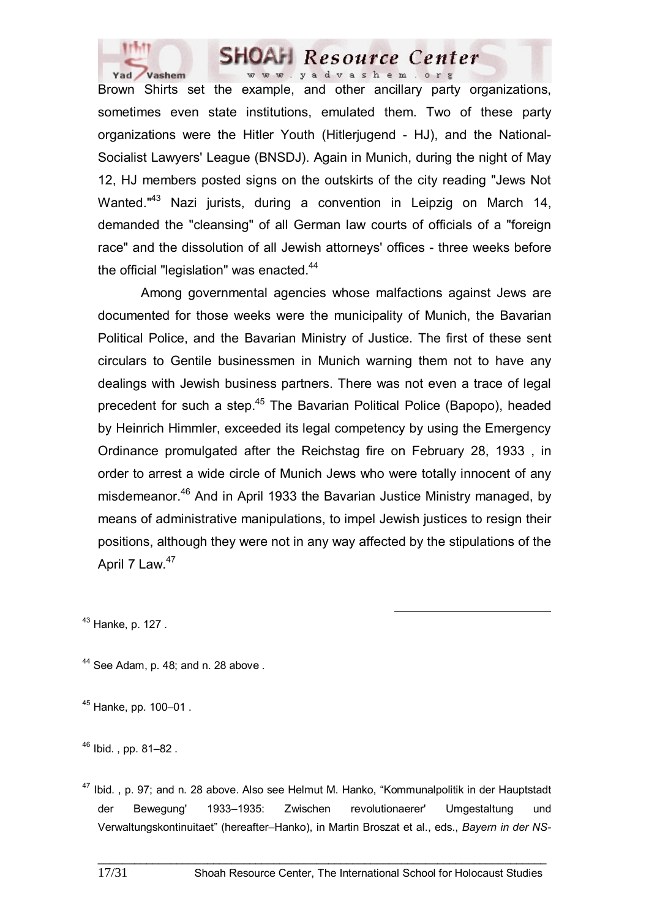

Brown Shirts set the example, and other ancillary party organizations, sometimes even state institutions, emulated them. Two of these party organizations were the Hitler Youth (Hitlerjugend - HJ), and the National-Socialist Lawyers' League (BNSDJ). Again in Munich, during the night of May 12, HJ members posted signs on the outskirts of the city reading "Jews Not Wanted."<sup>43</sup> Nazi jurists, during a convention in Leipzig on March 14, demanded the "cleansing" of all German law courts of officials of a "foreign race" and the dissolution of all Jewish attorneys' offices - three weeks before the official "legislation" was enacted.<sup>44</sup>

 Among governmental agencies whose malfactions against Jews are documented for those weeks were the municipality of Munich, the Bavarian Political Police, and the Bavarian Ministry of Justice. The first of these sent circulars to Gentile businessmen in Munich warning them not to have any dealings with Jewish business partners. There was not even a trace of legal precedent for such a step.<sup>45</sup> The Bavarian Political Police (Bapopo), headed by Heinrich Himmler, exceeded its legal competency by using the Emergency Ordinance promulgated after the Reichstag fire on February 28, 1933 , in order to arrest a wide circle of Munich Jews who were totally innocent of any misdemeanor.<sup>46</sup> And in April 1933 the Bavarian Justice Ministry managed, by means of administrative manipulations, to impel Jewish justices to resign their positions, although they were not in any way affected by the stipulations of the April 7 Law.<sup>47</sup>

 $43$  Hanke, p. 127.

 $44$  See Adam, p. 48; and n. 28 above.

45 Hanke, pp. 100–01 .

46 Ibid. , pp. 81–82 .

<sup>&</sup>lt;sup>47</sup> Ibid., p. 97; and n. 28 above. Also see Helmut M. Hanko, "Kommunalpolitik in der Hauptstadt der Bewegung' 1933–1935: Zwischen revolutionaerer' Umgestaltung und Verwaltungskontinuitaet" (hereafter–Hanko), in Martin Broszat et al., eds., *Bayern in der NS-*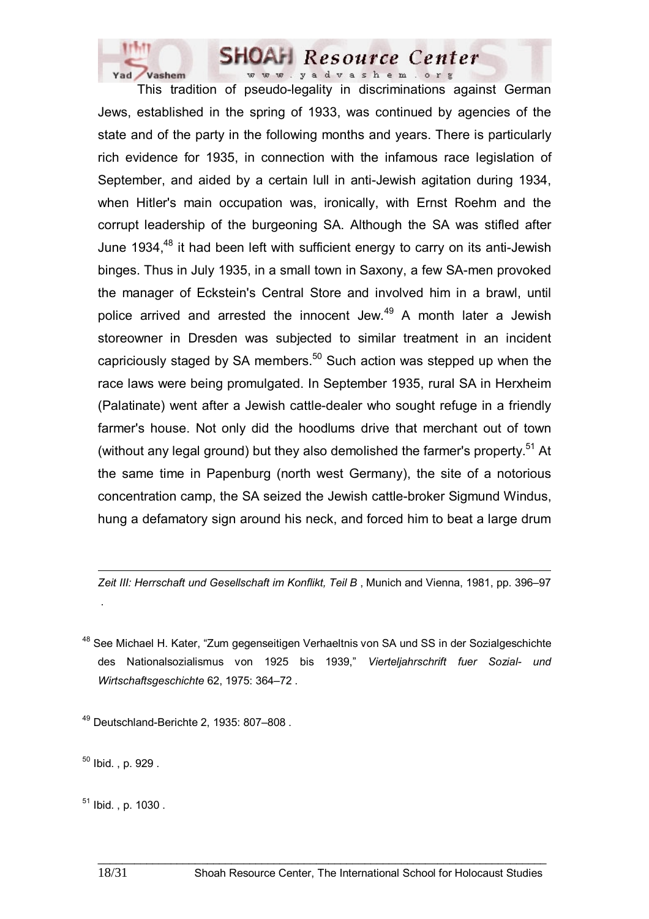

 This tradition of pseudo-legality in discriminations against German Jews, established in the spring of 1933, was continued by agencies of the state and of the party in the following months and years. There is particularly rich evidence for 1935, in connection with the infamous race legislation of September, and aided by a certain lull in anti-Jewish agitation during 1934, when Hitler's main occupation was, ironically, with Ernst Roehm and the corrupt leadership of the burgeoning SA. Although the SA was stifled after June 1934, $48$  it had been left with sufficient energy to carry on its anti-Jewish binges. Thus in July 1935, in a small town in Saxony, a few SA-men provoked the manager of Eckstein's Central Store and involved him in a brawl, until police arrived and arrested the innocent Jew.<sup>49</sup> A month later a Jewish storeowner in Dresden was subjected to similar treatment in an incident capriciously staged by SA members. $50$  Such action was stepped up when the race laws were being promulgated. In September 1935, rural SA in Herxheim (Palatinate) went after a Jewish cattle-dealer who sought refuge in a friendly farmer's house. Not only did the hoodlums drive that merchant out of town (without any legal ground) but they also demolished the farmer's property.<sup>51</sup> At the same time in Papenburg (north west Germany), the site of a notorious concentration camp, the SA seized the Jewish cattle-broker Sigmund Windus, hung a defamatory sign around his neck, and forced him to beat a large drum

*Zeit III: Herrschaft und Gesellschaft im Konflikt, Teil B* , Munich and Vienna, 1981, pp. 396–97

<sup>48</sup> See Michael H. Kater, "Zum gegenseitigen Verhaeltnis von SA und SS in der Sozialgeschichte des Nationalsozialismus von 1925 bis 1939," *Vierteljahrschrift fuer Sozial- und Wirtschaftsgeschichte* 62, 1975: 364–72 .

\_\_\_\_\_\_\_\_\_\_\_\_\_\_\_\_\_\_\_\_\_\_\_\_\_\_\_\_\_\_\_\_\_\_\_\_\_\_\_\_\_\_\_\_\_\_\_\_\_\_\_\_\_\_\_\_\_\_\_\_\_\_\_\_\_\_\_\_\_\_\_\_\_\_

 $49$  Deutschland-Berichte 2, 1935: 807-808.

 $50$  Ibid. , p. 929.

 $\overline{a}$ 

.

 $51$  Ibid. , p. 1030.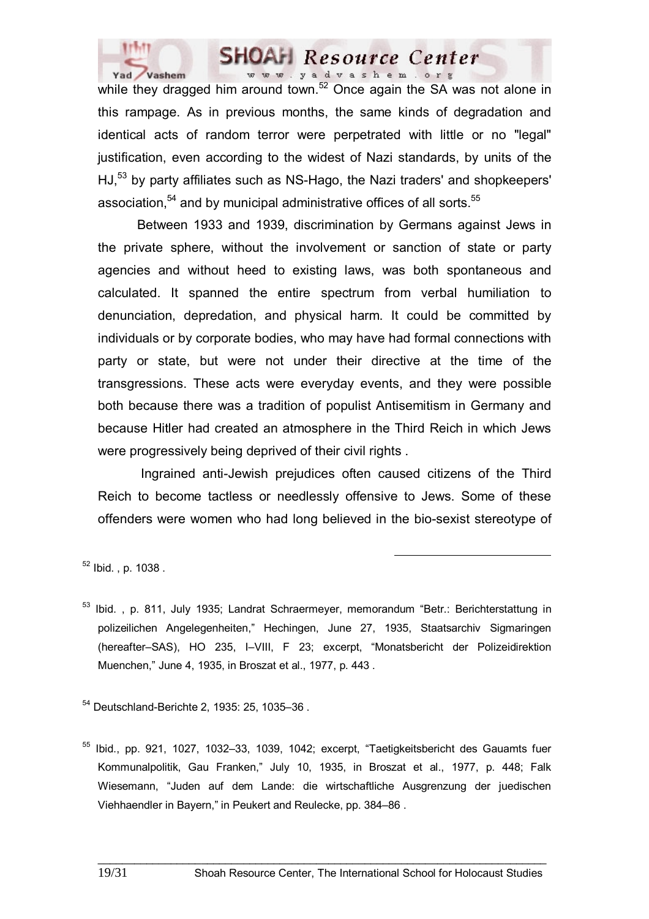

while they dragged him around town.<sup>52</sup> Once again the SA was not alone in this rampage. As in previous months, the same kinds of degradation and identical acts of random terror were perpetrated with little or no "legal" justification, even according to the widest of Nazi standards, by units of the HJ,<sup>53</sup> by party affiliates such as NS-Hago, the Nazi traders' and shopkeepers' association,  $54$  and by municipal administrative offices of all sorts.  $55$ 

 Between 1933 and 1939, discrimination by Germans against Jews in the private sphere, without the involvement or sanction of state or party agencies and without heed to existing laws, was both spontaneous and calculated. It spanned the entire spectrum from verbal humiliation to denunciation, depredation, and physical harm. It could be committed by individuals or by corporate bodies, who may have had formal connections with party or state, but were not under their directive at the time of the transgressions. These acts were everyday events, and they were possible both because there was a tradition of populist Antisemitism in Germany and because Hitler had created an atmosphere in the Third Reich in which Jews were progressively being deprived of their civil rights .

 Ingrained anti-Jewish prejudices often caused citizens of the Third Reich to become tactless or needlessly offensive to Jews. Some of these offenders were women who had long believed in the bio-sexist stereotype of

 $52$  Ibid., p. 1038.

<sup>53</sup> Ibid. , p. 811, July 1935; Landrat Schraermeyer, memorandum "Betr.: Berichterstattung in polizeilichen Angelegenheiten," Hechingen, June 27, 1935, Staatsarchiv Sigmaringen (hereafter–SAS), HO 235, I–VIII, F 23; excerpt, "Monatsbericht der Polizeidirektion Muenchen," June 4, 1935, in Broszat et al., 1977, p. 443 .

54 Deutschland-Berichte 2, 1935: 25, 1035–36 .

55 Ibid., pp. 921, 1027, 1032–33, 1039, 1042; excerpt, "Taetigkeitsbericht des Gauamts fuer Kommunalpolitik, Gau Franken," July 10, 1935, in Broszat et al., 1977, p. 448; Falk Wiesemann, "Juden auf dem Lande: die wirtschaftliche Ausgrenzung der juedischen Viehhaendler in Bayern," in Peukert and Reulecke, pp. 384–86 .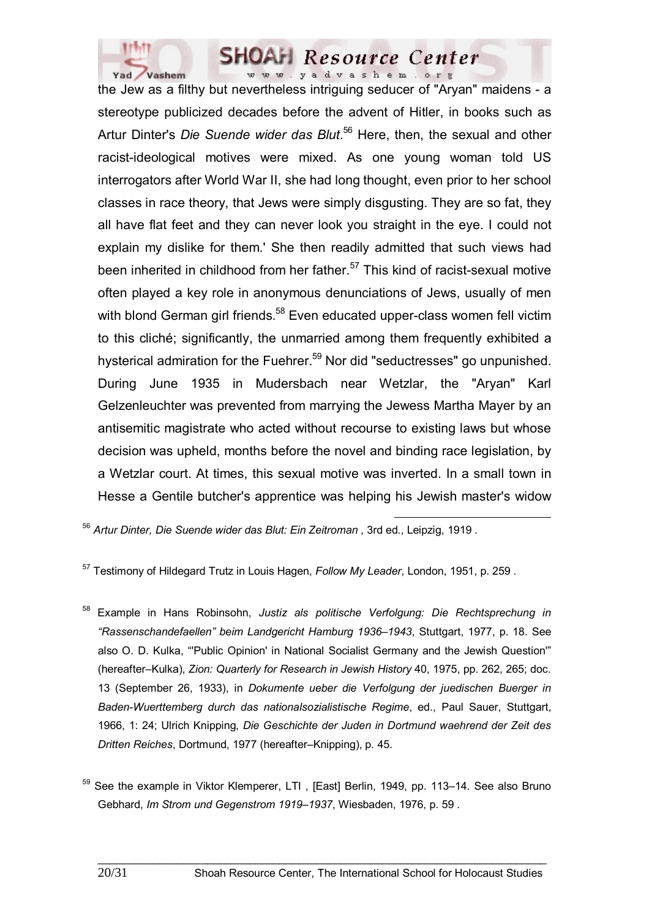

the Jew as a filthy but nevertheless intriguing seducer of "Aryan" maidens - a stereotype publicized decades before the advent of Hitler, in books such as Artur Dinter's *Die Suende wider das Blut*. 56 Here, then, the sexual and other racist-ideological motives were mixed. As one young woman told US interrogators after World War II, she had long thought, even prior to her school classes in race theory, that Jews were simply disgusting. They are so fat, they all have flat feet and they can never look you straight in the eye. I could not explain my dislike for them.' She then readily admitted that such views had been inherited in childhood from her father. $57$  This kind of racist-sexual motive often played a key role in anonymous denunciations of Jews, usually of men with blond German girl friends.<sup>58</sup> Even educated upper-class women fell victim to this cliché; significantly, the unmarried among them frequently exhibited a hysterical admiration for the Fuehrer.<sup>59</sup> Nor did "seductresses" go unpunished. During June 1935 in Mudersbach near Wetzlar, the "Aryan" Karl Gelzenleuchter was prevented from marrying the Jewess Martha Mayer by an antisemitic magistrate who acted without recourse to existing laws but whose decision was upheld, months before the novel and binding race legislation, by a Wetzlar court. At times, this sexual motive was inverted. In a small town in Hesse a Gentile butcher's apprentice was helping his Jewish master's widow

<sup>56</sup> *Artur Dinter, Die Suende wider das Blut: Ein Zeitroman* , 3rd ed., Leipzig, 1919 .

57 Testimony of Hildegard Trutz in Louis Hagen, *Follow My Leader*, London, 1951, p. 259 .

58 Example in Hans Robinsohn, *Justiz als politische Verfolgung: Die Rechtsprechung in "Rassenschandefaellen" beim Landgericht Hamburg 1936–1943*, Stuttgart, 1977, p. 18. See also O. D. Kulka, "'Public Opinion' in National Socialist Germany and the Jewish Question'" (hereafter–Kulka), *Zion: Quarterly for Research in Jewish History* 40, 1975, pp. 262, 265; doc. 13 (September 26, 1933), in *Dokumente ueber die Verfolgung der juedischen Buerger in Baden-Wuerttemberg durch das nationalsozialistische Regime*, ed., Paul Sauer, Stuttgart, 1966, 1: 24; Ulrich Knipping, *Die Geschichte der Juden in Dortmund waehrend der Zeit des Dritten Reiches*, Dortmund, 1977 (hereafter–Knipping), p. 45.

<sup>&</sup>lt;sup>59</sup> See the example in Viktor Klemperer, LTI, [East] Berlin, 1949, pp. 113–14. See also Bruno Gebhard, *Im Strom und Gegenstrom 1919–1937*, Wiesbaden, 1976, p. 59 .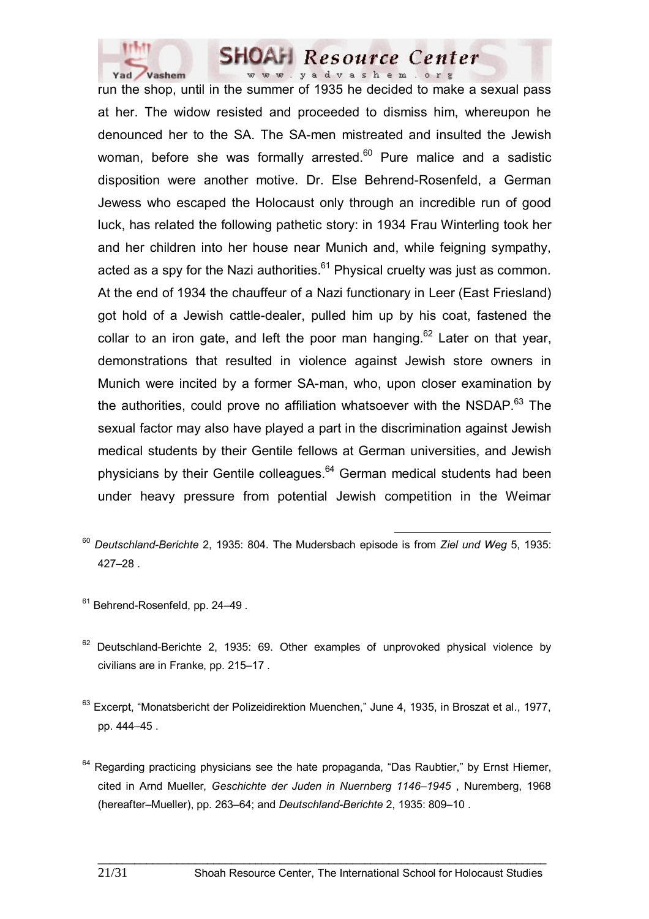

run the shop, until in the summer of 1935 he decided to make a sexual pass at her. The widow resisted and proceeded to dismiss him, whereupon he denounced her to the SA. The SA-men mistreated and insulted the Jewish woman, before she was formally arrested.<sup>60</sup> Pure malice and a sadistic disposition were another motive. Dr. Else Behrend-Rosenfeld, a German Jewess who escaped the Holocaust only through an incredible run of good luck, has related the following pathetic story: in 1934 Frau Winterling took her and her children into her house near Munich and, while feigning sympathy, acted as a spy for the Nazi authorities. $61$  Physical cruelty was just as common. At the end of 1934 the chauffeur of a Nazi functionary in Leer (East Friesland) got hold of a Jewish cattle-dealer, pulled him up by his coat, fastened the collar to an iron gate, and left the poor man hanging.<sup>62</sup> Later on that year, demonstrations that resulted in violence against Jewish store owners in Munich were incited by a former SA-man, who, upon closer examination by the authorities, could prove no affiliation whatsoever with the NSDAP. $63$  The sexual factor may also have played a part in the discrimination against Jewish medical students by their Gentile fellows at German universities, and Jewish physicians by their Gentile colleagues.64 German medical students had been under heavy pressure from potential Jewish competition in the Weimar

- <sup>61</sup> Behrend-Rosenfeld, pp. 24-49.
- $62$  Deutschland-Berichte 2, 1935; 69. Other examples of unprovoked physical violence by civilians are in Franke, pp. 215–17 .
- <sup>63</sup> Excerpt, "Monatsbericht der Polizeidirektion Muenchen," June 4, 1935, in Broszat et al., 1977, pp. 444–45 .
- $64$  Regarding practicing physicians see the hate propaganda, "Das Raubtier," by Ernst Hiemer, cited in Arnd Mueller, *Geschichte der Juden in Nuernberg 1146–1945* , Nuremberg, 1968 (hereafter–Mueller), pp. 263–64; and *Deutschland-Berichte* 2, 1935: 809–10 .

<sup>60</sup> *Deutschland-Berichte* 2, 1935: 804. The Mudersbach episode is from *Ziel und Weg* 5, 1935: 427–28 .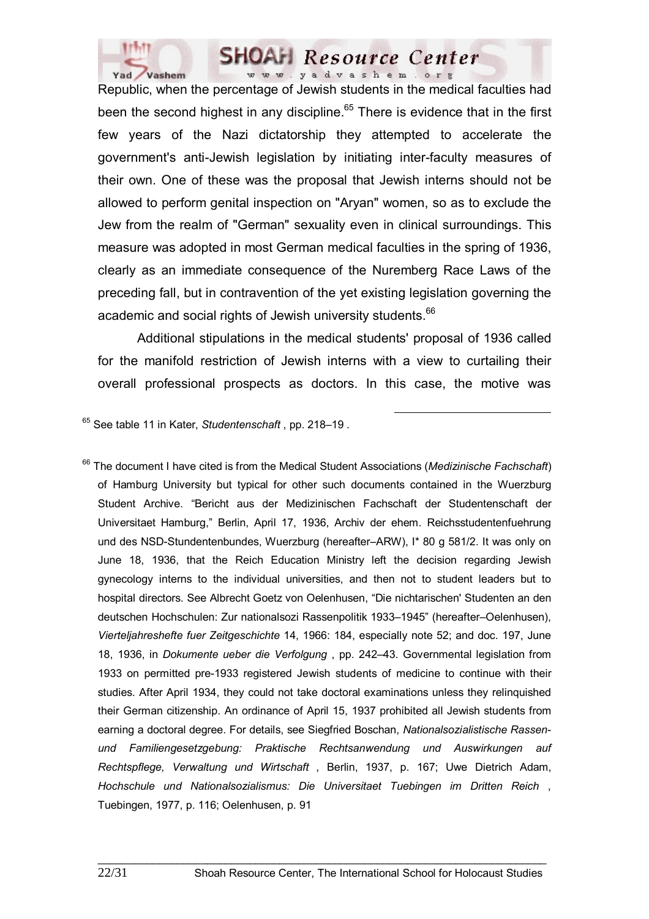

Republic, when the percentage of Jewish students in the medical faculties had been the second highest in any discipline. $65$  There is evidence that in the first few years of the Nazi dictatorship they attempted to accelerate the government's anti-Jewish legislation by initiating inter-faculty measures of their own. One of these was the proposal that Jewish interns should not be allowed to perform genital inspection on "Aryan" women, so as to exclude the Jew from the realm of "German" sexuality even in clinical surroundings. This measure was adopted in most German medical faculties in the spring of 1936, clearly as an immediate consequence of the Nuremberg Race Laws of the preceding fall, but in contravention of the yet existing legislation governing the academic and social rights of Jewish university students.<sup>66</sup>

 Additional stipulations in the medical students' proposal of 1936 called for the manifold restriction of Jewish interns with a view to curtailing their overall professional prospects as doctors. In this case, the motive was

65 See table 11 in Kater, *Studentenschaft* , pp. 218–19 .

66 The document I have cited is from the Medical Student Associations (*Medizinische Fachschaft*) of Hamburg University but typical for other such documents contained in the Wuerzburg Student Archive. "Bericht aus der Medizinischen Fachschaft der Studentenschaft der Universitaet Hamburg," Berlin, April 17, 1936, Archiv der ehem. Reichsstudentenfuehrung und des NSD-Stundentenbundes, Wuerzburg (hereafter–ARW), I\* 80 g 581/2. It was only on June 18, 1936, that the Reich Education Ministry left the decision regarding Jewish gynecology interns to the individual universities, and then not to student leaders but to hospital directors. See Albrecht Goetz von Oelenhusen, "Die nichtarischen' Studenten an den deutschen Hochschulen: Zur nationalsozi Rassenpolitik 1933–1945" (hereafter–Oelenhusen), *Vierteljahreshefte fuer Zeitgeschichte* 14, 1966: 184, especially note 52; and doc. 197, June 18, 1936, in *Dokumente ueber die Verfolgung* , pp. 242–43. Governmental legislation from 1933 on permitted pre-1933 registered Jewish students of medicine to continue with their studies. After April 1934, they could not take doctoral examinations unless they relinquished their German citizenship. An ordinance of April 15, 1937 prohibited all Jewish students from earning a doctoral degree. For details, see Siegfried Boschan, *Nationalsozialistische Rassenund Familiengesetzgebung: Praktische Rechtsanwendung und Auswirkungen auf Rechtspflege, Verwaltung und Wirtschaft* , Berlin, 1937, p. 167; Uwe Dietrich Adam, *Hochschule und Nationalsozialismus: Die Universitaet Tuebingen im Dritten Reich* , Tuebingen, 1977, p. 116; Oelenhusen, p. 91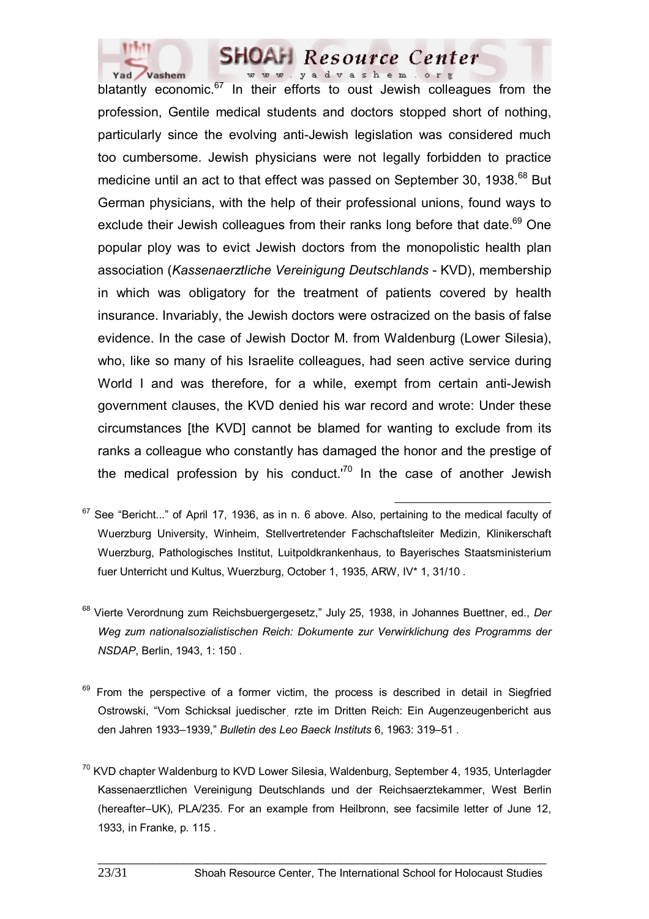

blatantly economic. $67$  In their efforts to oust Jewish colleagues from the profession, Gentile medical students and doctors stopped short of nothing, particularly since the evolving anti-Jewish legislation was considered much too cumbersome. Jewish physicians were not legally forbidden to practice medicine until an act to that effect was passed on September 30, 1938.<sup>68</sup> But German physicians, with the help of their professional unions, found ways to exclude their Jewish colleagues from their ranks long before that date.<sup>69</sup> One popular ploy was to evict Jewish doctors from the monopolistic health plan association (*Kassenaerztliche Vereinigung Deutschlands* - KVD), membership in which was obligatory for the treatment of patients covered by health insurance. Invariably, the Jewish doctors were ostracized on the basis of false evidence. In the case of Jewish Doctor M. from Waldenburg (Lower Silesia), who, like so many of his Israelite colleagues, had seen active service during World I and was therefore, for a while, exempt from certain anti-Jewish government clauses, the KVD denied his war record and wrote: Under these circumstances [the KVD] cannot be blamed for wanting to exclude from its ranks a colleague who constantly has damaged the honor and the prestige of the medical profession by his conduct. $170$  In the case of another Jewish

- 68 Vierte Verordnung zum Reichsbuergergesetz," July 25, 1938, in Johannes Buettner, ed., *Der Weg zum nationalsozialistischen Reich: Dokumente zur Verwirklichung des Programms der NSDAP*, Berlin, 1943, 1: 150 .
- $69$  From the perspective of a former victim, the process is described in detail in Siegfried Ostrowski, "Vom Schicksal juedischerִ rzte im Dritten Reich: Ein Augenzeugenbericht aus den Jahren 1933–1939," *Bulletin des Leo Baeck Instituts* 6, 1963: 319–51 .
- <sup>70</sup> KVD chapter Waldenburg to KVD Lower Silesia, Waldenburg, September 4, 1935, Unterlagder Kassenaerztlichen Vereinigung Deutschlands und der Reichsaerztekammer, West Berlin (hereafter–UK), PLA/235. For an example from Heilbronn, see facsimile letter of June 12, 1933, in Franke, p. 115 .

67 See "Bericht..." of April 17, 1936, as in n. 6 above. Also, pertaining to the medical faculty of Wuerzburg University, Winheim, Stellvertretender Fachschaftsleiter Medizin, Klinikerschaft Wuerzburg, Pathologisches Institut, Luitpoldkrankenhaus, to Bayerisches Staatsministerium fuer Unterricht und Kultus, Wuerzburg, October 1, 1935, ARW, IV\* 1, 31/10 .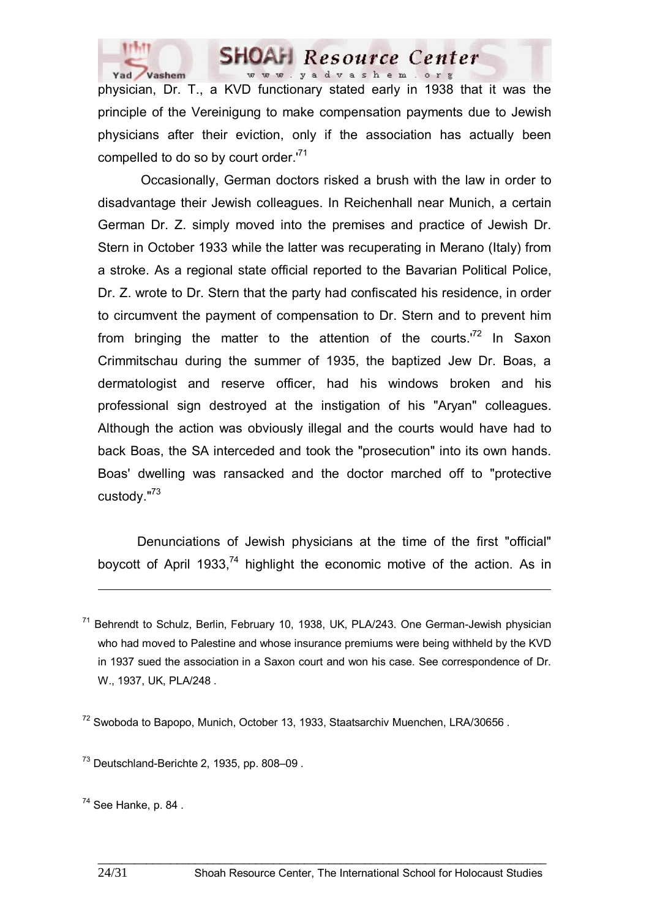

physician, Dr. T., a KVD functionary stated early in 1938 that it was the principle of the Vereinigung to make compensation payments due to Jewish physicians after their eviction, only if the association has actually been compelled to do so by court order.<sup>71</sup>

 Occasionally, German doctors risked a brush with the law in order to disadvantage their Jewish colleagues. In Reichenhall near Munich, a certain German Dr. Z. simply moved into the premises and practice of Jewish Dr. Stern in October 1933 while the latter was recuperating in Merano (Italy) from a stroke. As a regional state official reported to the Bavarian Political Police, Dr. Z. wrote to Dr. Stern that the party had confiscated his residence, in order to circumvent the payment of compensation to Dr. Stern and to prevent him from bringing the matter to the attention of the courts.<sup> $72$ </sup> In Saxon Crimmitschau during the summer of 1935, the baptized Jew Dr. Boas, a dermatologist and reserve officer, had his windows broken and his professional sign destroyed at the instigation of his "Aryan" colleagues. Although the action was obviously illegal and the courts would have had to back Boas, the SA interceded and took the "prosecution" into its own hands. Boas' dwelling was ransacked and the doctor marched off to "protective custody."73

Denunciations of Jewish physicians at the time of the first "official" boycott of April 1933,<sup>74</sup> highlight the economic motive of the action. As in

Behrendt to Schulz, Berlin, February 10, 1938, UK, PLA/243. One German-Jewish physician who had moved to Palestine and whose insurance premiums were being withheld by the KVD in 1937 sued the association in a Saxon court and won his case. See correspondence of Dr. W., 1937, UK, PLA/248 .

\_\_\_\_\_\_\_\_\_\_\_\_\_\_\_\_\_\_\_\_\_\_\_\_\_\_\_\_\_\_\_\_\_\_\_\_\_\_\_\_\_\_\_\_\_\_\_\_\_\_\_\_\_\_\_\_\_\_\_\_\_\_\_\_\_\_\_\_\_\_\_\_\_\_

<sup>72</sup> Swoboda to Bapopo, Munich, October 13, 1933, Staatsarchiv Muenchen, LRA/30656.

 $73$  Deutschland-Berichte 2, 1935, pp. 808–09.

 $74$  See Hanke, p. 84.

 $\overline{a}$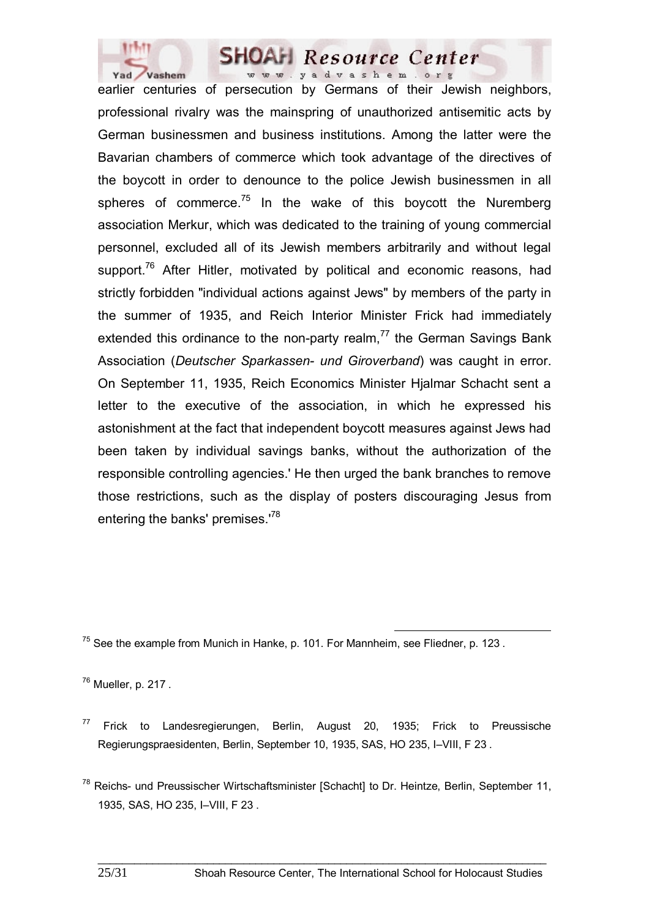

earlier centuries of persecution by Germans of their Jewish neighbors, professional rivalry was the mainspring of unauthorized antisemitic acts by German businessmen and business institutions. Among the latter were the Bavarian chambers of commerce which took advantage of the directives of the boycott in order to denounce to the police Jewish businessmen in all spheres of commerce. $75$  In the wake of this boycott the Nuremberg association Merkur, which was dedicated to the training of young commercial personnel, excluded all of its Jewish members arbitrarily and without legal support.<sup>76</sup> After Hitler, motivated by political and economic reasons, had strictly forbidden "individual actions against Jews" by members of the party in the summer of 1935, and Reich Interior Minister Frick had immediately extended this ordinance to the non-party realm, $<sup>77</sup>$  the German Savings Bank</sup> Association (*Deutscher Sparkassen- und Giroverband*) was caught in error. On September 11, 1935, Reich Economics Minister Hjalmar Schacht sent a letter to the executive of the association, in which he expressed his astonishment at the fact that independent boycott measures against Jews had been taken by individual savings banks, without the authorization of the responsible controlling agencies.' He then urged the bank branches to remove those restrictions, such as the display of posters discouraging Jesus from entering the banks' premises.<sup>78</sup>

 $75$  See the example from Munich in Hanke, p. 101. For Mannheim, see Fliedner, p. 123.

 $76$  Mueller, p. 217.

 $77$  Frick to Landesregierungen, Berlin, August 20, 1935; Frick to Preussische Regierungspraesidenten, Berlin, September 10, 1935, SAS, HO 235, I–VIII, F 23 .

 $78$  Reichs- und Preussischer Wirtschaftsminister [Schacht] to Dr. Heintze, Berlin, September 11, 1935, SAS, HO 235, I–VIII, F 23 .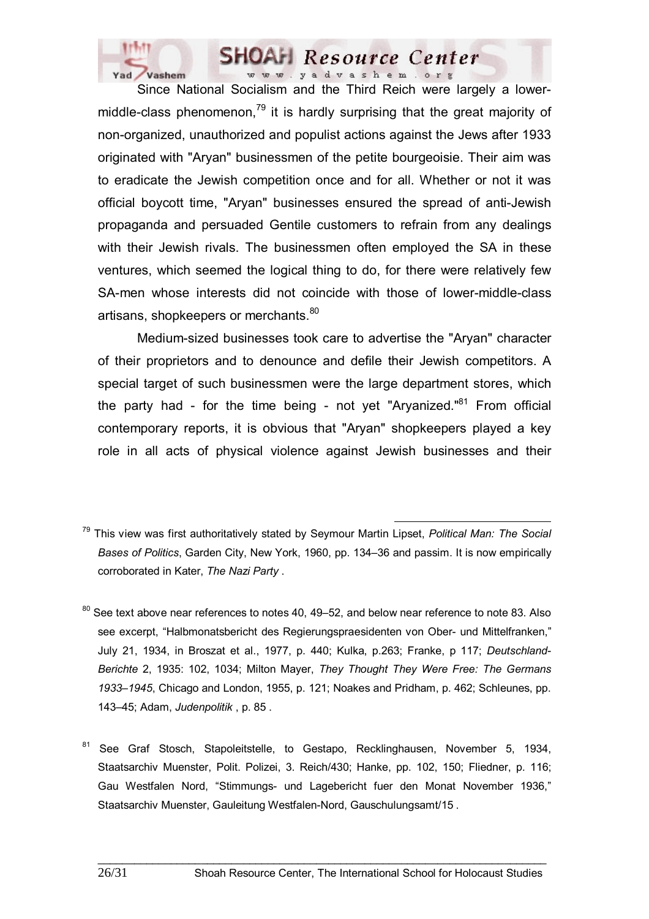

 Since National Socialism and the Third Reich were largely a lowermiddle-class phenomenon, $79$  it is hardly surprising that the great majority of non-organized, unauthorized and populist actions against the Jews after 1933 originated with "Aryan" businessmen of the petite bourgeoisie. Their aim was to eradicate the Jewish competition once and for all. Whether or not it was official boycott time, "Aryan" businesses ensured the spread of anti-Jewish propaganda and persuaded Gentile customers to refrain from any dealings with their Jewish rivals. The businessmen often employed the SA in these ventures, which seemed the logical thing to do, for there were relatively few SA-men whose interests did not coincide with those of lower-middle-class artisans, shopkeepers or merchants.<sup>80</sup>

 Medium-sized businesses took care to advertise the "Aryan" character of their proprietors and to denounce and defile their Jewish competitors. A special target of such businessmen were the large department stores, which the party had - for the time being - not yet "Aryanized."<sup>81</sup> From official contemporary reports, it is obvious that "Aryan" shopkeepers played a key role in all acts of physical violence against Jewish businesses and their

- See text above near references to notes 40, 49–52, and below near reference to note 83. Also see excerpt, "Halbmonatsbericht des Regierungspraesidenten von Ober- und Mittelfranken," July 21, 1934, in Broszat et al., 1977, p. 440; Kulka, p.263; Franke, p 117; *Deutschland-Berichte* 2, 1935: 102, 1034; Milton Mayer, *They Thought They Were Free: The Germans 1933–1945*, Chicago and London, 1955, p. 121; Noakes and Pridham, p. 462; Schleunes, pp. 143–45; Adam, *Judenpolitik* , p. 85 .
- <sup>81</sup> See Graf Stosch, Stapoleitstelle, to Gestapo, Recklinghausen, November 5, 1934, Staatsarchiv Muenster, Polit. Polizei, 3. Reich/430; Hanke, pp. 102, 150; Fliedner, p. 116; Gau Westfalen Nord, "Stimmungs- und Lagebericht fuer den Monat November 1936," Staatsarchiv Muenster, Gauleitung Westfalen-Nord, Gauschulungsamt/15 .

79 This view was first authoritatively stated by Seymour Martin Lipset, *Political Man: The Social Bases of Politics*, Garden City, New York, 1960, pp. 134–36 and passim. It is now empirically corroborated in Kater, *The Nazi Party* .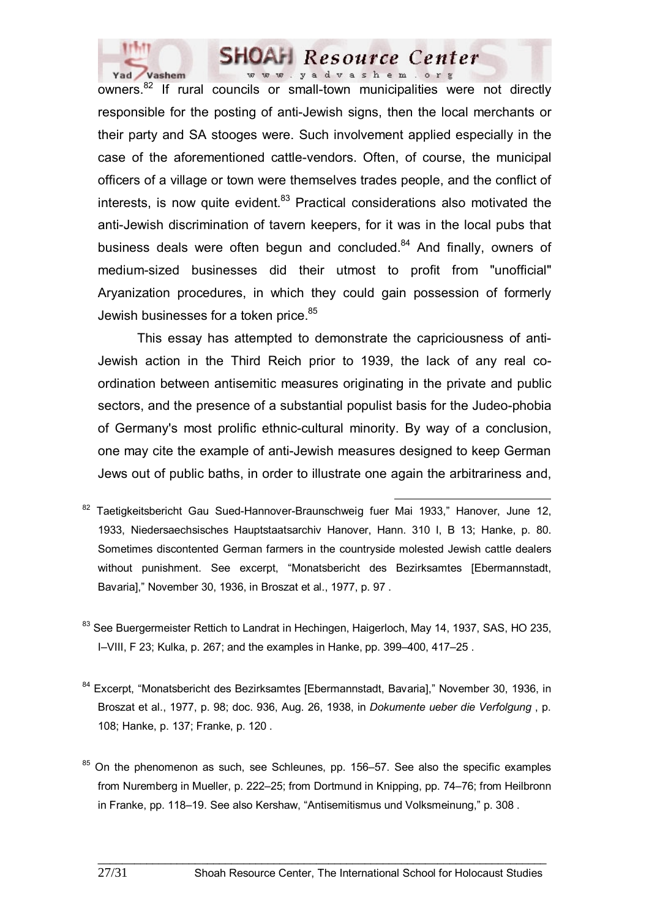

owners.<sup>82</sup> If rural councils or small-town municipalities were not directly responsible for the posting of anti-Jewish signs, then the local merchants or their party and SA stooges were. Such involvement applied especially in the case of the aforementioned cattle-vendors. Often, of course, the municipal officers of a village or town were themselves trades people, and the conflict of interests, is now quite evident. $83$  Practical considerations also motivated the anti-Jewish discrimination of tavern keepers, for it was in the local pubs that business deals were often begun and concluded.<sup>84</sup> And finally, owners of medium-sized businesses did their utmost to profit from "unofficial" Aryanization procedures, in which they could gain possession of formerly Jewish businesses for a token price.<sup>85</sup>

 This essay has attempted to demonstrate the capriciousness of anti-Jewish action in the Third Reich prior to 1939, the lack of any real coordination between antisemitic measures originating in the private and public sectors, and the presence of a substantial populist basis for the Judeo-phobia of Germany's most prolific ethnic-cultural minority. By way of a conclusion, one may cite the example of anti-Jewish measures designed to keep German Jews out of public baths, in order to illustrate one again the arbitrariness and,

- 82 Taetigkeitsbericht Gau Sued-Hannover-Braunschweig fuer Mai 1933," Hanover, June 12, 1933, Niedersaechsisches Hauptstaatsarchiv Hanover, Hann. 310 I, B 13; Hanke, p. 80. Sometimes discontented German farmers in the countryside molested Jewish cattle dealers without punishment. See excerpt, "Monatsbericht des Bezirksamtes [Ebermannstadt, Bavaria]," November 30, 1936, in Broszat et al., 1977, p. 97 .
- <sup>83</sup> See Buergermeister Rettich to Landrat in Hechingen, Haigerloch, May 14, 1937, SAS, HO 235, I–VIII, F 23; Kulka, p. 267; and the examples in Hanke, pp. 399–400, 417–25 .
- 84 Excerpt, "Monatsbericht des Bezirksamtes [Ebermannstadt, Bavaria]," November 30, 1936, in Broszat et al., 1977, p. 98; doc. 936, Aug. 26, 1938, in *Dokumente ueber die Verfolgung* , p. 108; Hanke, p. 137; Franke, p. 120 .
- $85$  On the phenomenon as such, see Schleunes, pp. 156–57. See also the specific examples from Nuremberg in Mueller, p. 222–25; from Dortmund in Knipping, pp. 74–76; from Heilbronn in Franke, pp. 118–19. See also Kershaw, "Antisemitismus und Volksmeinung," p. 308 .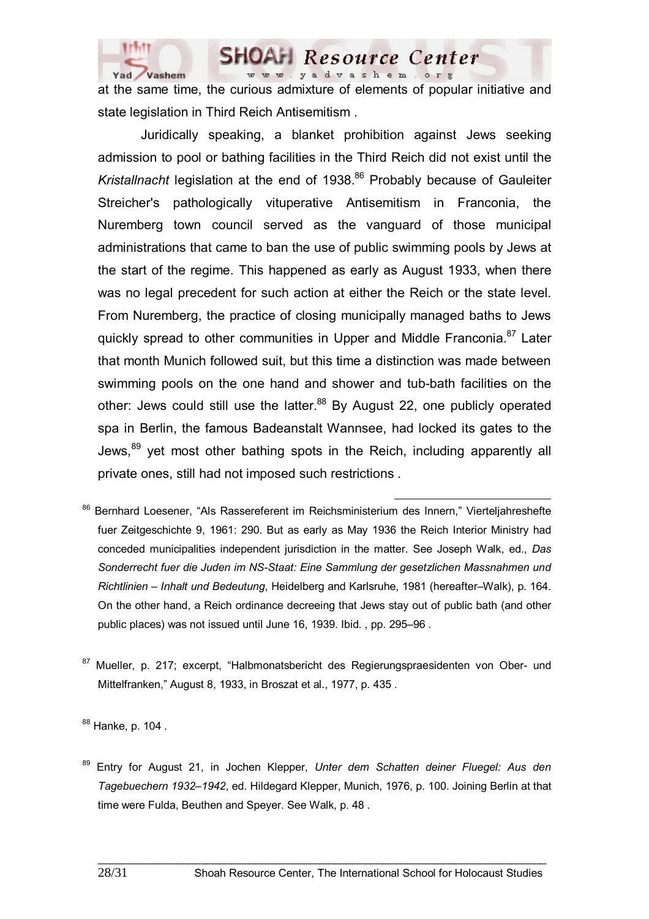

at the same time, the curious admixture of elements of popular initiative and state legislation in Third Reich Antisemitism .

 Juridically speaking, a blanket prohibition against Jews seeking admission to pool or bathing facilities in the Third Reich did not exist until the *Kristallnacht* legislation at the end of 1938.<sup>86</sup> Probably because of Gauleiter Streicher's pathologically vituperative Antisemitism in Franconia, the Nuremberg town council served as the vanguard of those municipal administrations that came to ban the use of public swimming pools by Jews at the start of the regime. This happened as early as August 1933, when there was no legal precedent for such action at either the Reich or the state level. From Nuremberg, the practice of closing municipally managed baths to Jews quickly spread to other communities in Upper and Middle Franconia.<sup>87</sup> Later that month Munich followed suit, but this time a distinction was made between swimming pools on the one hand and shower and tub-bath facilities on the other: Jews could still use the latter.<sup>88</sup> By August 22, one publicly operated spa in Berlin, the famous Badeanstalt Wannsee, had locked its gates to the Jews,<sup>89</sup> yet most other bathing spots in the Reich, including apparently all private ones, still had not imposed such restrictions .

- 86 Bernhard Loesener, "Als Rassereferent im Reichsministerium des Innern," Vierteljahreshefte fuer Zeitgeschichte 9, 1961: 290. But as early as May 1936 the Reich Interior Ministry had conceded municipalities independent jurisdiction in the matter. See Joseph Walk, ed., *Das Sonderrecht fuer die Juden im NS-Staat: Eine Sammlung der gesetzlichen Massnahmen und Richtlinien – Inhalt und Bedeutung*, Heidelberg and Karlsruhe, 1981 (hereafter–Walk), p. 164. On the other hand, a Reich ordinance decreeing that Jews stay out of public bath (and other public places) was not issued until June 16, 1939. Ibid. , pp. 295–96 .
- 87 Mueller, p. 217; excerpt, "Halbmonatsbericht des Regierungspraesidenten von Ober- und Mittelfranken," August 8, 1933, in Broszat et al., 1977, p. 435 .

88 Hanke, p. 104.

89 Entry for August 21, in Jochen Klepper, *Unter dem Schatten deiner Fluegel: Aus den Tagebuechern 1932–1942*, ed. Hildegard Klepper, Munich, 1976, p. 100. Joining Berlin at that time were Fulda, Beuthen and Speyer. See Walk, p. 48 .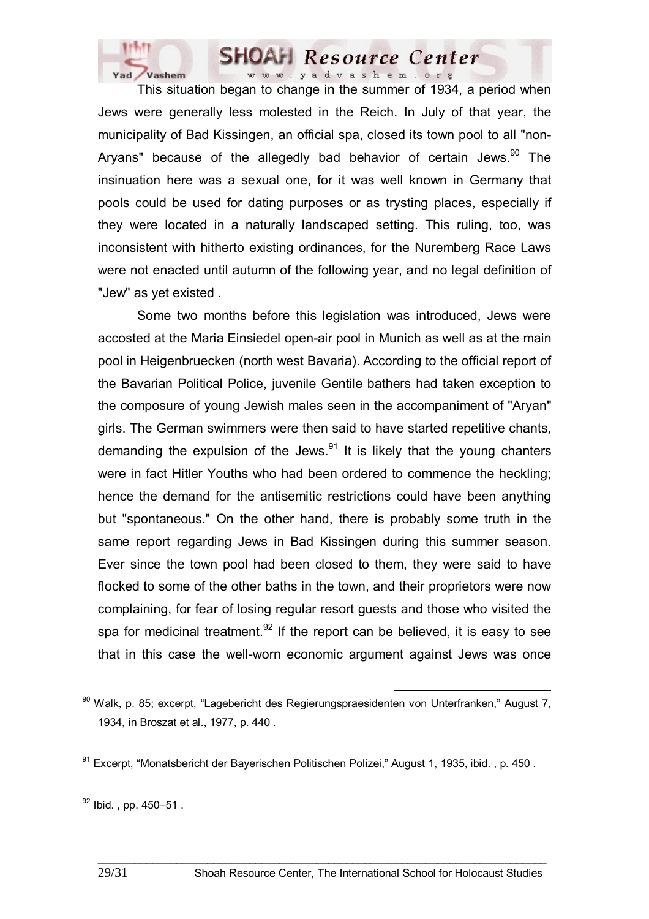

 This situation began to change in the summer of 1934, a period when Jews were generally less molested in the Reich. In July of that year, the municipality of Bad Kissingen, an official spa, closed its town pool to all "non-Aryans" because of the allegedly bad behavior of certain Jews. $90$  The insinuation here was a sexual one, for it was well known in Germany that pools could be used for dating purposes or as trysting places, especially if they were located in a naturally landscaped setting. This ruling, too, was inconsistent with hitherto existing ordinances, for the Nuremberg Race Laws were not enacted until autumn of the following year, and no legal definition of "Jew" as yet existed .

 Some two months before this legislation was introduced, Jews were accosted at the Maria Einsiedel open-air pool in Munich as well as at the main pool in Heigenbruecken (north west Bavaria). According to the official report of the Bavarian Political Police, juvenile Gentile bathers had taken exception to the composure of young Jewish males seen in the accompaniment of "Aryan" girls. The German swimmers were then said to have started repetitive chants, demanding the expulsion of the Jews. $91$  It is likely that the young chanters were in fact Hitler Youths who had been ordered to commence the heckling; hence the demand for the antisemitic restrictions could have been anything but "spontaneous." On the other hand, there is probably some truth in the same report regarding Jews in Bad Kissingen during this summer season. Ever since the town pool had been closed to them, they were said to have flocked to some of the other baths in the town, and their proprietors were now complaining, for fear of losing regular resort guests and those who visited the spa for medicinal treatment.<sup>92</sup> If the report can be believed, it is easy to see that in this case the well-worn economic argument against Jews was once

 $90$  Walk, p. 85; excerpt, "Lagebericht des Regierungspraesidenten von Unterfranken," August 7, 1934, in Broszat et al., 1977, p. 440 .

<sup>91</sup> Excerpt, "Monatsbericht der Bayerischen Politischen Polizei," August 1, 1935, ibid., p. 450.

 $92$  Ibid., pp. 450-51.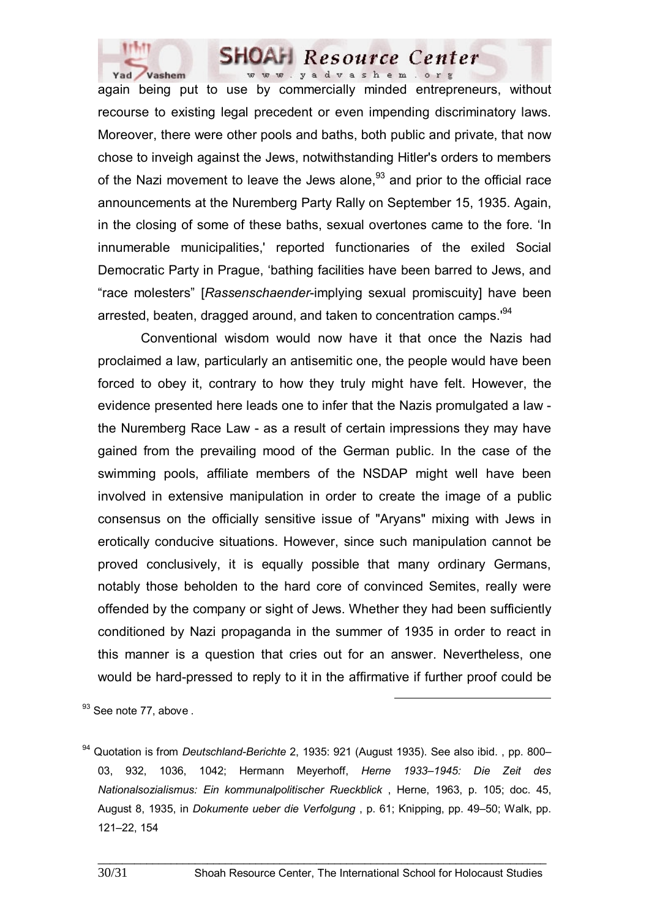

again being put to use by commercially minded entrepreneurs, without recourse to existing legal precedent or even impending discriminatory laws. Moreover, there were other pools and baths, both public and private, that now chose to inveigh against the Jews, notwithstanding Hitler's orders to members of the Nazi movement to leave the Jews alone. $93$  and prior to the official race announcements at the Nuremberg Party Rally on September 15, 1935. Again, in the closing of some of these baths, sexual overtones came to the fore. 'In innumerable municipalities,' reported functionaries of the exiled Social Democratic Party in Prague, 'bathing facilities have been barred to Jews, and "race molesters" [*Rassenschaender*-implying sexual promiscuity] have been arrested, beaten, dragged around, and taken to concentration camps.<sup>94</sup>

 Conventional wisdom would now have it that once the Nazis had proclaimed a law, particularly an antisemitic one, the people would have been forced to obey it, contrary to how they truly might have felt. However, the evidence presented here leads one to infer that the Nazis promulgated a law the Nuremberg Race Law - as a result of certain impressions they may have gained from the prevailing mood of the German public. In the case of the swimming pools, affiliate members of the NSDAP might well have been involved in extensive manipulation in order to create the image of a public consensus on the officially sensitive issue of "Aryans" mixing with Jews in erotically conducive situations. However, since such manipulation cannot be proved conclusively, it is equally possible that many ordinary Germans, notably those beholden to the hard core of convinced Semites, really were offended by the company or sight of Jews. Whether they had been sufficiently conditioned by Nazi propaganda in the summer of 1935 in order to react in this manner is a question that cries out for an answer. Nevertheless, one would be hard-pressed to reply to it in the affirmative if further proof could be

<sup>93</sup> See note 77, above .

<sup>94</sup> Quotation is from *Deutschland-Berichte* 2, 1935: 921 (August 1935). See also ibid. , pp. 800– 03, 932, 1036, 1042; Hermann Meyerhoff, *Herne 1933–1945: Die Zeit des Nationalsozialismus: Ein kommunalpolitischer Rueckblick* , Herne, 1963, p. 105; doc. 45, August 8, 1935, in *Dokumente ueber die Verfolgung* , p. 61; Knipping, pp. 49–50; Walk, pp. 121–22, 154